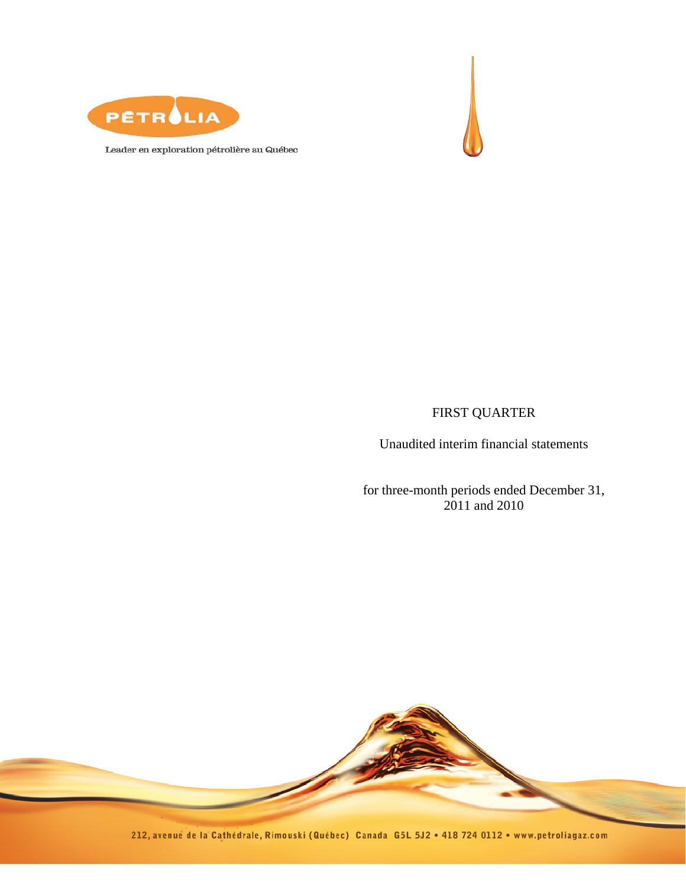



Leader en exploration pétrolière au Québec

# FIRST QUARTER

Unaudited interim financial statements

for three-month periods ended December 31, 2011 and 2010



212, avenue de la Cathédrale, Rimouski (Québec) Canada G5L 5J2 . 418 724 0112 . www.petroliagaz.com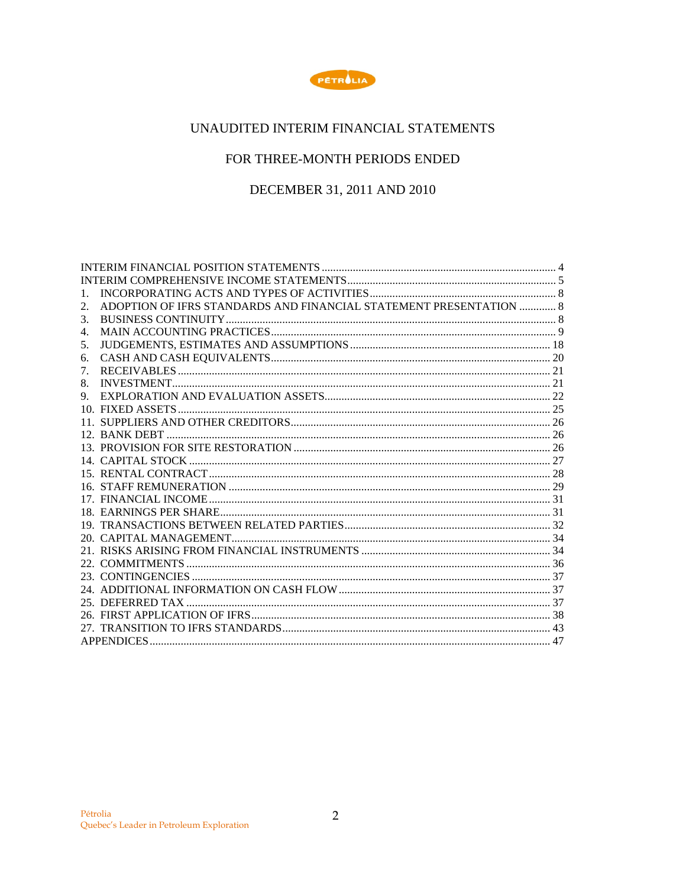

# UNAUDITED INTERIM FINANCIAL STATEMENTS

# FOR THREE-MONTH PERIODS ENDED

DECEMBER 31, 2011 AND 2010

| 2. | ADOPTION OF IFRS STANDARDS AND FINANCIAL STATEMENT PRESENTATION  8 |  |
|----|--------------------------------------------------------------------|--|
| 3. |                                                                    |  |
| 4. |                                                                    |  |
| 5. |                                                                    |  |
| 6. | ${\bf CASH}~ {\bf AND}~ {\bf CASH}~ {\bf EQUIVALENTS}~~20$         |  |
| 7. |                                                                    |  |
| 8. |                                                                    |  |
| 9. |                                                                    |  |
|    |                                                                    |  |
|    |                                                                    |  |
|    |                                                                    |  |
|    |                                                                    |  |
|    |                                                                    |  |
|    |                                                                    |  |
|    |                                                                    |  |
|    |                                                                    |  |
|    |                                                                    |  |
|    |                                                                    |  |
|    |                                                                    |  |
|    |                                                                    |  |
|    |                                                                    |  |
|    |                                                                    |  |
|    |                                                                    |  |
|    |                                                                    |  |
|    |                                                                    |  |
|    |                                                                    |  |
|    |                                                                    |  |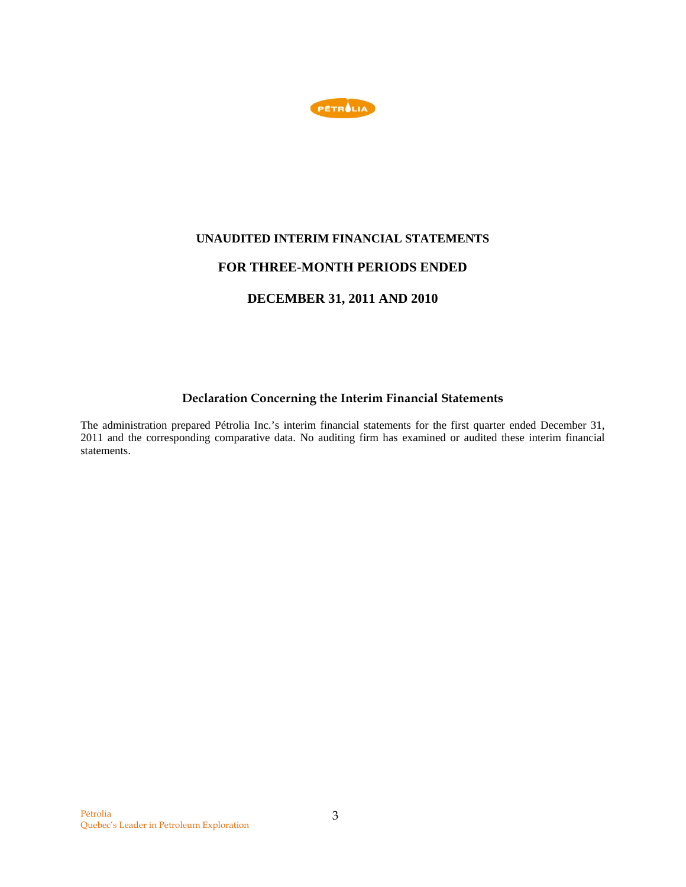

# **UNAUDITED INTERIM FINANCIAL STATEMENTS**

# **FOR THREE-MONTH PERIODS ENDED**

# **DECEMBER 31, 2011 AND 2010**

# **Declaration Concerning the Interim Financial Statements**

The administration prepared Pétrolia Inc.'s interim financial statements for the first quarter ended December 31, 2011 and the corresponding comparative data. No auditing firm has examined or audited these interim financial statements.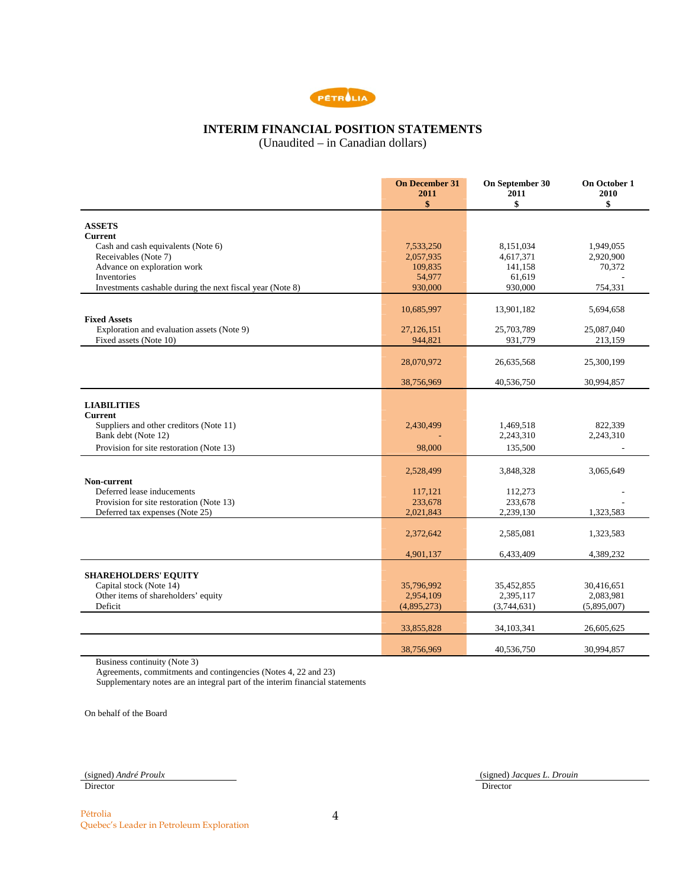

# **INTERIM FINANCIAL POSITION STATEMENTS**

(Unaudited – in Canadian dollars)

|                                                           | <b>On December 31</b><br>2011<br>\$ | On September 30<br>2011<br>\$ | On October 1<br>2010<br>\$ |
|-----------------------------------------------------------|-------------------------------------|-------------------------------|----------------------------|
| <b>ASSETS</b>                                             |                                     |                               |                            |
| <b>Current</b>                                            |                                     |                               |                            |
| Cash and cash equivalents (Note 6)                        | 7,533,250                           | 8,151,034                     | 1,949,055                  |
| Receivables (Note 7)                                      | 2,057,935                           | 4,617,371                     | 2,920,900                  |
| Advance on exploration work                               | 109,835                             | 141,158                       | 70,372                     |
| Inventories                                               | 54,977                              | 61,619                        |                            |
| Investments cashable during the next fiscal year (Note 8) | 930,000                             | 930,000                       | 754,331                    |
|                                                           | 10,685,997                          | 13,901,182                    | 5,694,658                  |
| <b>Fixed Assets</b>                                       |                                     |                               |                            |
| Exploration and evaluation assets (Note 9)                | 27,126,151                          | 25,703,789                    | 25,087,040                 |
| Fixed assets (Note 10)                                    | 944,821                             | 931,779                       | 213,159                    |
|                                                           |                                     |                               |                            |
|                                                           | 28,070,972                          | 26,635,568                    | 25,300,199                 |
|                                                           | 38,756,969                          | 40,536,750                    | 30,994,857                 |
| <b>LIABILITIES</b>                                        |                                     |                               |                            |
| <b>Current</b>                                            |                                     |                               |                            |
| Suppliers and other creditors (Note 11)                   | 2,430,499                           | 1,469,518                     | 822,339                    |
| Bank debt (Note 12)                                       |                                     | 2,243,310                     | 2,243,310                  |
| Provision for site restoration (Note 13)                  | 98,000                              | 135,500                       |                            |
|                                                           |                                     |                               |                            |
| Non-current                                               | 2,528,499                           | 3,848,328                     | 3,065,649                  |
| Deferred lease inducements                                | 117,121                             | 112,273                       |                            |
| Provision for site restoration (Note 13)                  | 233,678                             | 233,678                       |                            |
| Deferred tax expenses (Note 25)                           | 2,021,843                           | 2,239,130                     | 1,323,583                  |
|                                                           | 2,372,642                           | 2,585,081                     | 1,323,583                  |
|                                                           |                                     |                               |                            |
|                                                           | 4,901,137                           | 6,433,409                     | 4,389,232                  |
| <b>SHAREHOLDERS' EQUITY</b>                               |                                     |                               |                            |
| Capital stock (Note 14)                                   | 35,796,992                          | 35,452,855                    | 30,416,651                 |
| Other items of shareholders' equity                       | 2,954,109                           | 2,395,117                     | 2,083,981                  |
| Deficit                                                   | (4,895,273)                         | (3,744,631)                   | (5,895,007)                |
|                                                           |                                     |                               |                            |
|                                                           | 33,855,828                          | 34,103,341                    | 26,605,625                 |
|                                                           | 38,756,969                          | 40,536,750                    | 30,994,857                 |
|                                                           |                                     |                               |                            |

Business continuity (Note 3)

Agreements, commitments and contingencies (Notes 4, 22 and 23)

Supplementary notes are an integral part of the interim financial statements

On behalf of the Board

Director **Director** Director

(signed) *André Proulx*(signed) *Jacques L. Drouin*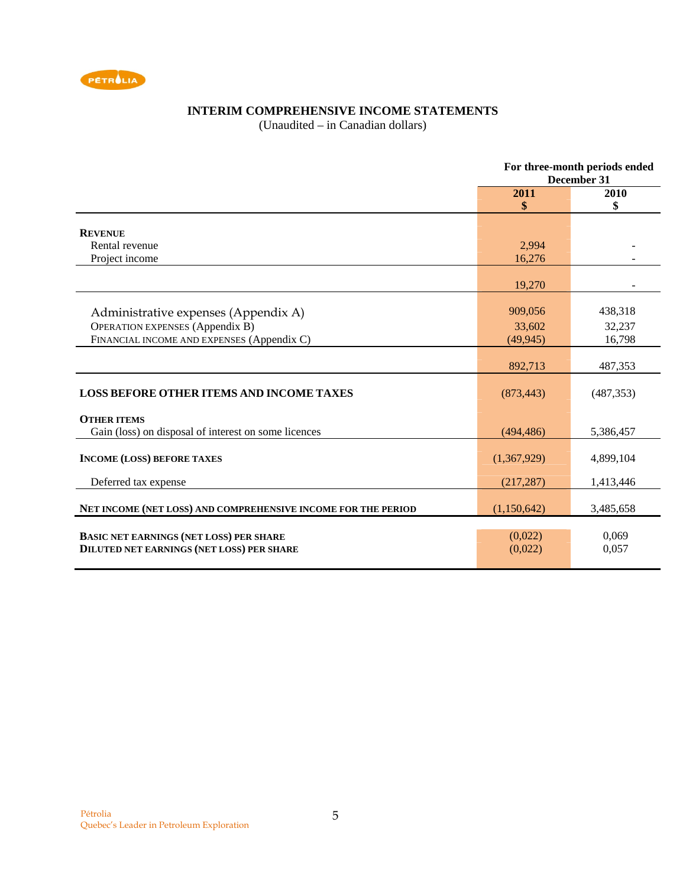

# **INTERIM COMPREHENSIVE INCOME STATEMENTS**

(Unaudited – in Canadian dollars)

|                                                                                                    | For three-month periods ended<br>December 31 |                |  |
|----------------------------------------------------------------------------------------------------|----------------------------------------------|----------------|--|
|                                                                                                    | 2011<br>\$                                   | 2010<br>\$     |  |
|                                                                                                    |                                              |                |  |
| <b>REVENUE</b>                                                                                     |                                              |                |  |
| Rental revenue                                                                                     | 2,994                                        |                |  |
| Project income                                                                                     | 16,276                                       |                |  |
|                                                                                                    | 19,270                                       |                |  |
|                                                                                                    |                                              |                |  |
| Administrative expenses (Appendix A)                                                               | 909,056                                      | 438,318        |  |
| <b>OPERATION EXPENSES (Appendix B)</b>                                                             | 33,602                                       | 32,237         |  |
| FINANCIAL INCOME AND EXPENSES (Appendix C)                                                         | (49, 945)                                    | 16,798         |  |
|                                                                                                    |                                              |                |  |
|                                                                                                    | 892,713                                      | 487,353        |  |
| <b>LOSS BEFORE OTHER ITEMS AND INCOME TAXES</b>                                                    | (873, 443)                                   | (487, 353)     |  |
| <b>OTHER ITEMS</b>                                                                                 |                                              |                |  |
| Gain (loss) on disposal of interest on some licences                                               | (494, 486)                                   | 5,386,457      |  |
| <b>INCOME (LOSS) BEFORE TAXES</b>                                                                  | (1,367,929)                                  | 4,899,104      |  |
| Deferred tax expense                                                                               | (217, 287)                                   | 1,413,446      |  |
| NET INCOME (NET LOSS) AND COMPREHENSIVE INCOME FOR THE PERIOD                                      | (1,150,642)                                  | 3,485,658      |  |
| <b>BASIC NET EARNINGS (NET LOSS) PER SHARE</b><br><b>DILUTED NET EARNINGS (NET LOSS) PER SHARE</b> | (0,022)<br>(0,022)                           | 0,069<br>0,057 |  |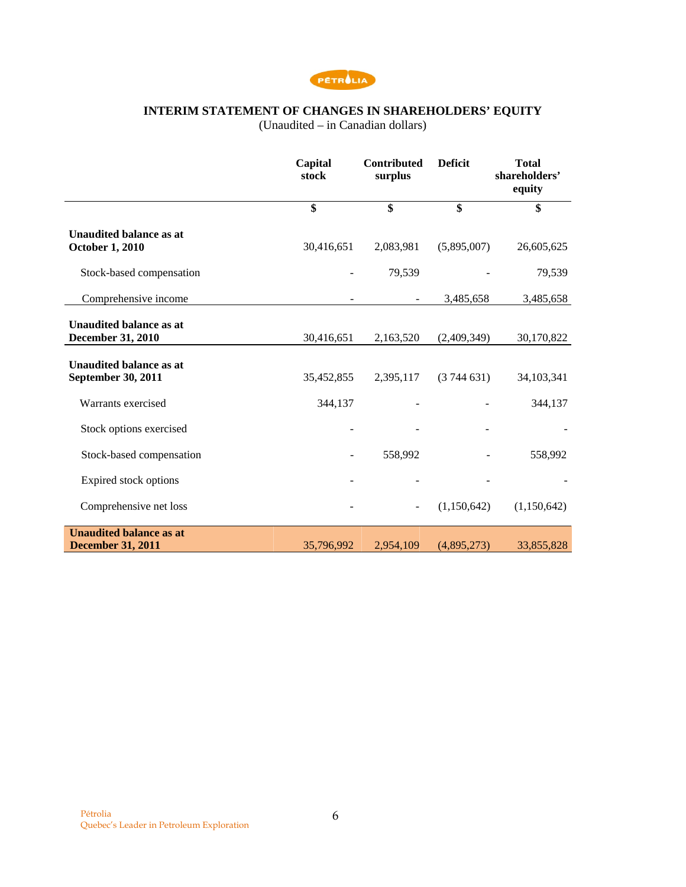

# **INTERIM STATEMENT OF CHANGES IN SHAREHOLDERS' EQUITY**

(Unaudited – in Canadian dollars)

|                                                            | Capital<br>stock | <b>Contributed</b><br>surplus | <b>Deficit</b> | <b>Total</b><br>shareholders'<br>equity |
|------------------------------------------------------------|------------------|-------------------------------|----------------|-----------------------------------------|
|                                                            | \$               | \$                            | \$             | \$                                      |
| <b>Unaudited balance as at</b><br><b>October 1, 2010</b>   | 30,416,651       | 2,083,981                     | (5,895,007)    | 26,605,625                              |
| Stock-based compensation                                   |                  | 79,539                        |                | 79,539                                  |
| Comprehensive income                                       |                  |                               | 3,485,658      | 3,485,658                               |
| <b>Unaudited balance as at</b><br><b>December 31, 2010</b> | 30,416,651       | 2,163,520                     | (2,409,349)    | 30,170,822                              |
| <b>Unaudited balance as at</b><br>September 30, 2011       | 35,452,855       | 2,395,117                     | (3744631)      | 34, 103, 341                            |
| Warrants exercised                                         | 344,137          |                               |                | 344,137                                 |
| Stock options exercised                                    |                  |                               |                |                                         |
| Stock-based compensation                                   |                  | 558,992                       |                | 558,992                                 |
| Expired stock options                                      |                  |                               |                |                                         |
| Comprehensive net loss                                     |                  | $\overline{\phantom{a}}$      | (1,150,642)    | (1,150,642)                             |
| <b>Unaudited balance as at</b><br><b>December 31, 2011</b> | 35,796,992       | 2,954,109                     | (4,895,273)    | 33,855,828                              |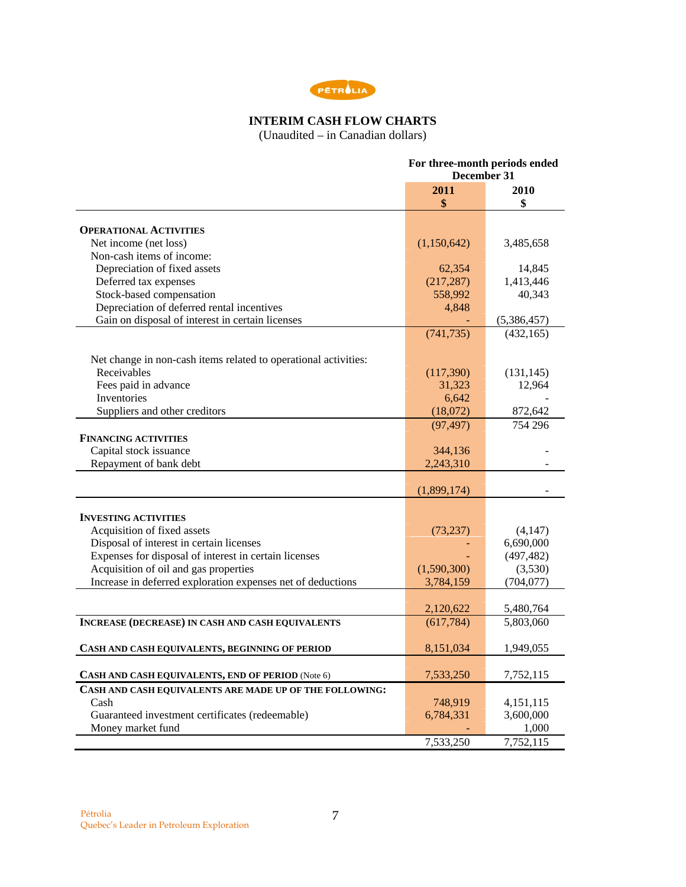

# **INTERIM CASH FLOW CHARTS**

(Unaudited – in Canadian dollars)

|                                                                 | For three-month periods ended<br>December 31 |             |  |
|-----------------------------------------------------------------|----------------------------------------------|-------------|--|
|                                                                 | 2011                                         | 2010        |  |
|                                                                 | \$                                           | \$          |  |
|                                                                 |                                              |             |  |
| <b>OPERATIONAL ACTIVITIES</b>                                   |                                              |             |  |
| Net income (net loss)                                           | (1,150,642)                                  | 3,485,658   |  |
| Non-cash items of income:                                       |                                              |             |  |
| Depreciation of fixed assets                                    | 62,354                                       | 14,845      |  |
| Deferred tax expenses                                           | (217, 287)                                   | 1,413,446   |  |
| Stock-based compensation                                        | 558,992                                      | 40,343      |  |
| Depreciation of deferred rental incentives                      | 4,848                                        |             |  |
| Gain on disposal of interest in certain licenses                |                                              | (5,386,457) |  |
|                                                                 | (741, 735)                                   | (432, 165)  |  |
| Net change in non-cash items related to operational activities: |                                              |             |  |
| Receivables                                                     | (117,390)                                    | (131, 145)  |  |
| Fees paid in advance                                            | 31,323                                       | 12,964      |  |
| <b>Inventories</b>                                              | 6,642                                        |             |  |
| Suppliers and other creditors                                   | (18,072)                                     | 872,642     |  |
|                                                                 | (97, 497)                                    | 754 296     |  |
| <b>FINANCING ACTIVITIES</b>                                     |                                              |             |  |
| Capital stock issuance                                          | 344,136                                      |             |  |
| Repayment of bank debt                                          | 2,243,310                                    |             |  |
|                                                                 |                                              |             |  |
|                                                                 | (1,899,174)                                  |             |  |
|                                                                 |                                              |             |  |
| <b>INVESTING ACTIVITIES</b>                                     |                                              |             |  |
| Acquisition of fixed assets                                     | (73, 237)                                    | (4,147)     |  |
| Disposal of interest in certain licenses                        |                                              | 6,690,000   |  |
| Expenses for disposal of interest in certain licenses           |                                              | (497, 482)  |  |
| Acquisition of oil and gas properties                           | (1,590,300)                                  | (3,530)     |  |
| Increase in deferred exploration expenses net of deductions     | 3,784,159                                    | (704, 077)  |  |
|                                                                 | 2,120,622                                    | 5,480,764   |  |
| <b>INCREASE (DECREASE) IN CASH AND CASH EQUIVALENTS</b>         | (617, 784)                                   | 5,803,060   |  |
|                                                                 |                                              |             |  |
| CASH AND CASH EQUIVALENTS, BEGINNING OF PERIOD                  | 8,151,034                                    | 1,949,055   |  |
| CASH AND CASH EQUIVALENTS, END OF PERIOD (Note 6)               | 7,533,250                                    | 7,752,115   |  |
| CASH AND CASH EQUIVALENTS ARE MADE UP OF THE FOLLOWING:         |                                              |             |  |
| Cash                                                            | 748,919                                      | 4,151,115   |  |
| Guaranteed investment certificates (redeemable)                 | 6,784,331                                    | 3,600,000   |  |
| Money market fund                                               |                                              | 1,000       |  |
|                                                                 | 7,533,250                                    | 7,752,115   |  |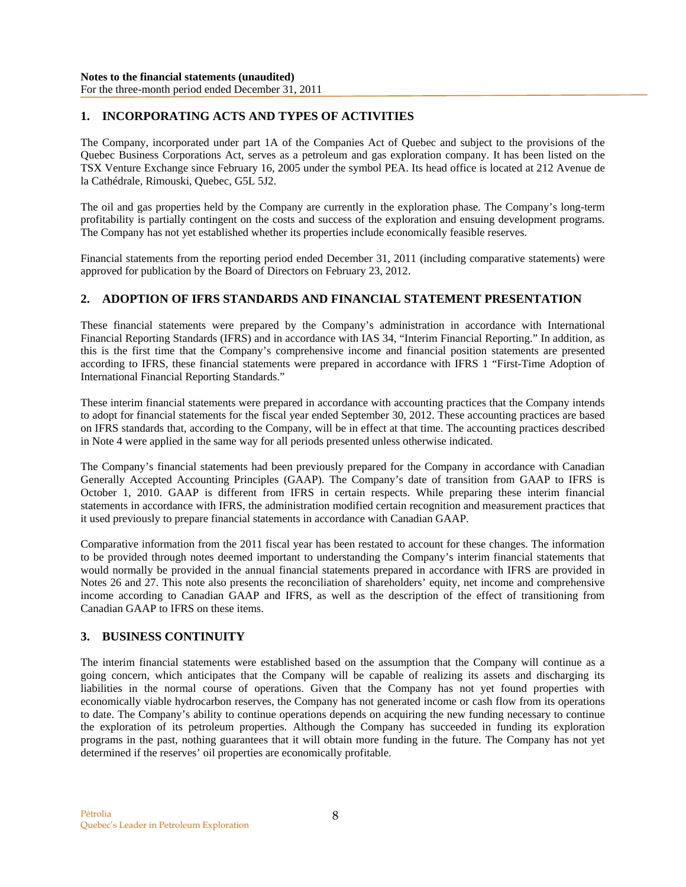# **1. INCORPORATING ACTS AND TYPES OF ACTIVITIES**

The Company, incorporated under part 1A of the Companies Act of Quebec and subject to the provisions of the Quebec Business Corporations Act, serves as a petroleum and gas exploration company. It has been listed on the TSX Venture Exchange since February 16, 2005 under the symbol PEA. Its head office is located at 212 Avenue de la Cathédrale, Rimouski, Quebec, G5L 5J2.

The oil and gas properties held by the Company are currently in the exploration phase. The Company's long-term profitability is partially contingent on the costs and success of the exploration and ensuing development programs. The Company has not yet established whether its properties include economically feasible reserves.

Financial statements from the reporting period ended December 31, 2011 (including comparative statements) were approved for publication by the Board of Directors on February 23, 2012.

# **2. ADOPTION OF IFRS STANDARDS AND FINANCIAL STATEMENT PRESENTATION**

These financial statements were prepared by the Company's administration in accordance with International Financial Reporting Standards (IFRS) and in accordance with IAS 34, "Interim Financial Reporting." In addition, as this is the first time that the Company's comprehensive income and financial position statements are presented according to IFRS, these financial statements were prepared in accordance with IFRS 1 "First-Time Adoption of International Financial Reporting Standards."

These interim financial statements were prepared in accordance with accounting practices that the Company intends to adopt for financial statements for the fiscal year ended September 30, 2012. These accounting practices are based on IFRS standards that, according to the Company, will be in effect at that time. The accounting practices described in Note 4 were applied in the same way for all periods presented unless otherwise indicated.

The Company's financial statements had been previously prepared for the Company in accordance with Canadian Generally Accepted Accounting Principles (GAAP). The Company's date of transition from GAAP to IFRS is October 1, 2010. GAAP is different from IFRS in certain respects. While preparing these interim financial statements in accordance with IFRS, the administration modified certain recognition and measurement practices that it used previously to prepare financial statements in accordance with Canadian GAAP.

Comparative information from the 2011 fiscal year has been restated to account for these changes. The information to be provided through notes deemed important to understanding the Company's interim financial statements that would normally be provided in the annual financial statements prepared in accordance with IFRS are provided in Notes 26 and 27. This note also presents the reconciliation of shareholders' equity, net income and comprehensive income according to Canadian GAAP and IFRS, as well as the description of the effect of transitioning from Canadian GAAP to IFRS on these items.

# **3. BUSINESS CONTINUITY**

The interim financial statements were established based on the assumption that the Company will continue as a going concern, which anticipates that the Company will be capable of realizing its assets and discharging its liabilities in the normal course of operations. Given that the Company has not yet found properties with economically viable hydrocarbon reserves, the Company has not generated income or cash flow from its operations to date. The Company's ability to continue operations depends on acquiring the new funding necessary to continue the exploration of its petroleum properties. Although the Company has succeeded in funding its exploration programs in the past, nothing guarantees that it will obtain more funding in the future. The Company has not yet determined if the reserves' oil properties are economically profitable.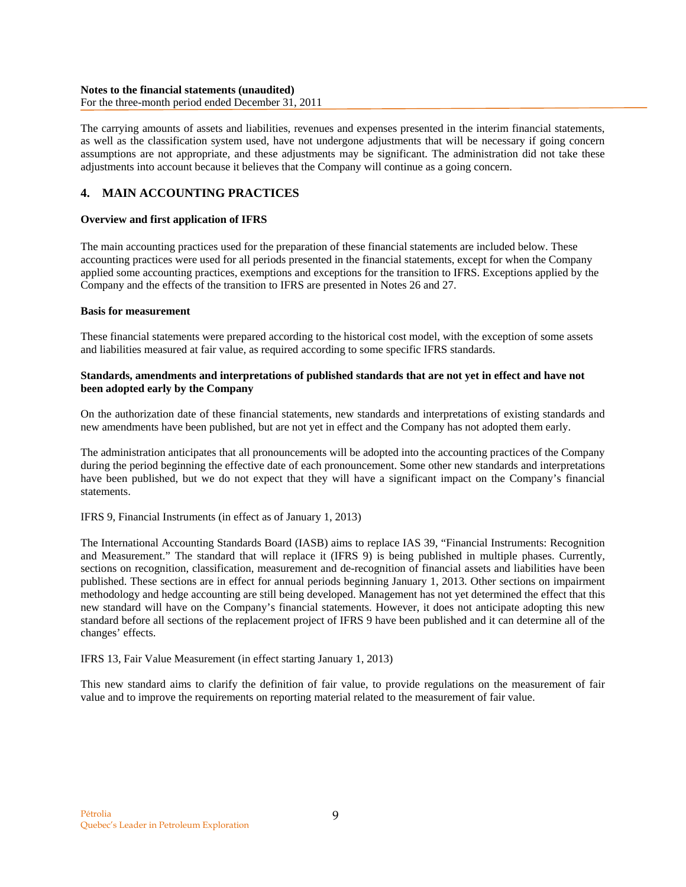For the three-month period ended December 31, 2011

The carrying amounts of assets and liabilities, revenues and expenses presented in the interim financial statements, as well as the classification system used, have not undergone adjustments that will be necessary if going concern assumptions are not appropriate, and these adjustments may be significant. The administration did not take these adjustments into account because it believes that the Company will continue as a going concern.

# **4. MAIN ACCOUNTING PRACTICES**

# **Overview and first application of IFRS**

The main accounting practices used for the preparation of these financial statements are included below. These accounting practices were used for all periods presented in the financial statements, except for when the Company applied some accounting practices, exemptions and exceptions for the transition to IFRS. Exceptions applied by the Company and the effects of the transition to IFRS are presented in Notes 26 and 27.

# **Basis for measurement**

These financial statements were prepared according to the historical cost model, with the exception of some assets and liabilities measured at fair value, as required according to some specific IFRS standards.

# **Standards, amendments and interpretations of published standards that are not yet in effect and have not been adopted early by the Company**

On the authorization date of these financial statements, new standards and interpretations of existing standards and new amendments have been published, but are not yet in effect and the Company has not adopted them early.

The administration anticipates that all pronouncements will be adopted into the accounting practices of the Company during the period beginning the effective date of each pronouncement. Some other new standards and interpretations have been published, but we do not expect that they will have a significant impact on the Company's financial statements.

# IFRS 9, Financial Instruments (in effect as of January 1, 2013)

The International Accounting Standards Board (IASB) aims to replace IAS 39, "Financial Instruments: Recognition and Measurement." The standard that will replace it (IFRS 9) is being published in multiple phases. Currently, sections on recognition, classification, measurement and de-recognition of financial assets and liabilities have been published. These sections are in effect for annual periods beginning January 1, 2013. Other sections on impairment methodology and hedge accounting are still being developed. Management has not yet determined the effect that this new standard will have on the Company's financial statements. However, it does not anticipate adopting this new standard before all sections of the replacement project of IFRS 9 have been published and it can determine all of the changes' effects.

# IFRS 13, Fair Value Measurement (in effect starting January 1, 2013)

This new standard aims to clarify the definition of fair value, to provide regulations on the measurement of fair value and to improve the requirements on reporting material related to the measurement of fair value.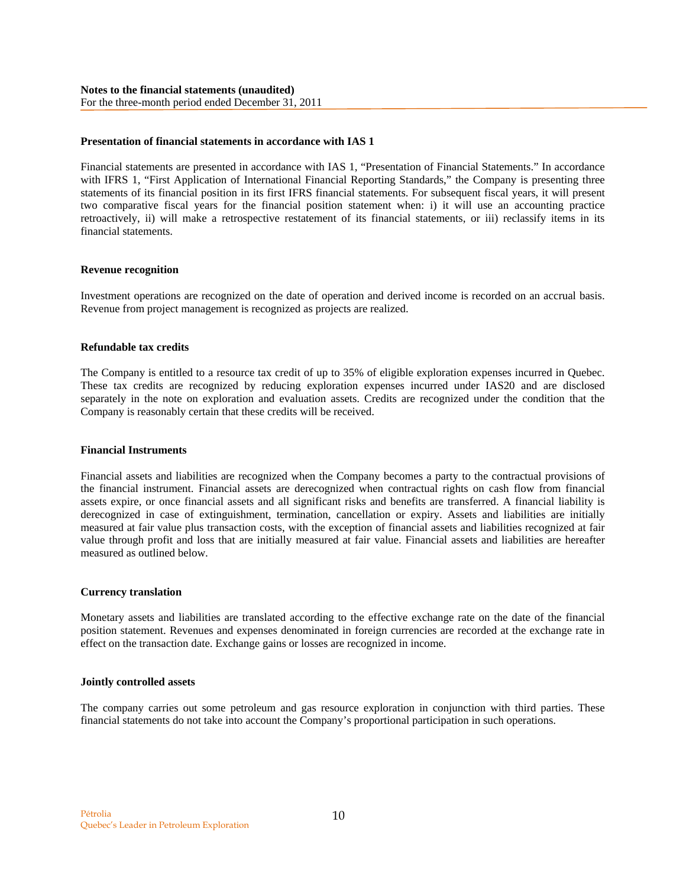### **Presentation of financial statements in accordance with IAS 1**

Financial statements are presented in accordance with IAS 1, "Presentation of Financial Statements." In accordance with IFRS 1, "First Application of International Financial Reporting Standards," the Company is presenting three statements of its financial position in its first IFRS financial statements. For subsequent fiscal years, it will present two comparative fiscal years for the financial position statement when: i) it will use an accounting practice retroactively, ii) will make a retrospective restatement of its financial statements, or iii) reclassify items in its financial statements.

### **Revenue recognition**

Investment operations are recognized on the date of operation and derived income is recorded on an accrual basis. Revenue from project management is recognized as projects are realized.

#### **Refundable tax credits**

The Company is entitled to a resource tax credit of up to 35% of eligible exploration expenses incurred in Quebec. These tax credits are recognized by reducing exploration expenses incurred under IAS20 and are disclosed separately in the note on exploration and evaluation assets. Credits are recognized under the condition that the Company is reasonably certain that these credits will be received.

#### **Financial Instruments**

Financial assets and liabilities are recognized when the Company becomes a party to the contractual provisions of the financial instrument. Financial assets are derecognized when contractual rights on cash flow from financial assets expire, or once financial assets and all significant risks and benefits are transferred. A financial liability is derecognized in case of extinguishment, termination, cancellation or expiry. Assets and liabilities are initially measured at fair value plus transaction costs, with the exception of financial assets and liabilities recognized at fair value through profit and loss that are initially measured at fair value. Financial assets and liabilities are hereafter measured as outlined below.

### **Currency translation**

Monetary assets and liabilities are translated according to the effective exchange rate on the date of the financial position statement. Revenues and expenses denominated in foreign currencies are recorded at the exchange rate in effect on the transaction date. Exchange gains or losses are recognized in income.

#### **Jointly controlled assets**

The company carries out some petroleum and gas resource exploration in conjunction with third parties. These financial statements do not take into account the Company's proportional participation in such operations.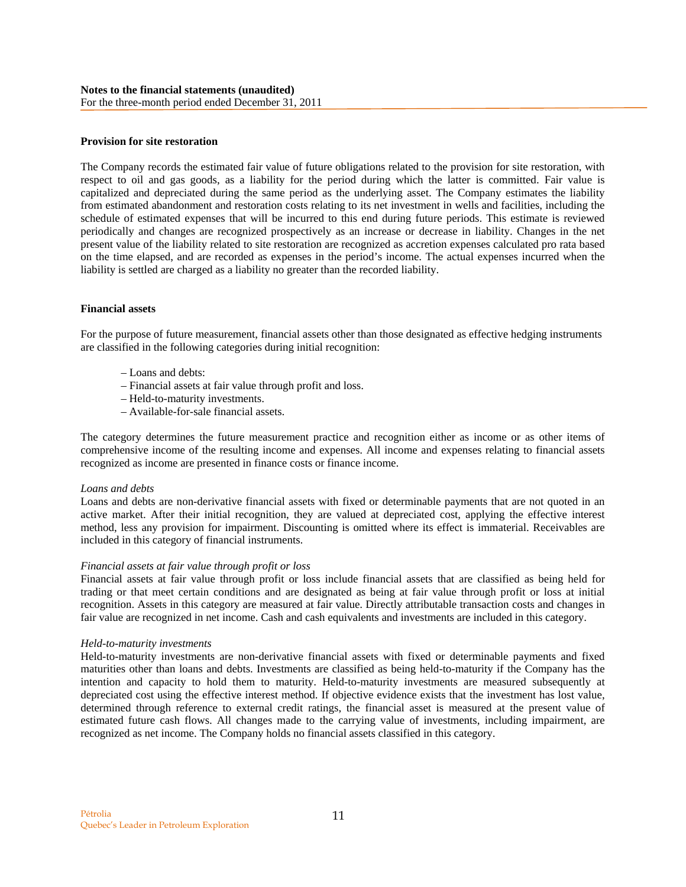#### **Provision for site restoration**

The Company records the estimated fair value of future obligations related to the provision for site restoration, with respect to oil and gas goods, as a liability for the period during which the latter is committed. Fair value is capitalized and depreciated during the same period as the underlying asset. The Company estimates the liability from estimated abandonment and restoration costs relating to its net investment in wells and facilities, including the schedule of estimated expenses that will be incurred to this end during future periods. This estimate is reviewed periodically and changes are recognized prospectively as an increase or decrease in liability. Changes in the net present value of the liability related to site restoration are recognized as accretion expenses calculated pro rata based on the time elapsed, and are recorded as expenses in the period's income. The actual expenses incurred when the liability is settled are charged as a liability no greater than the recorded liability.

### **Financial assets**

For the purpose of future measurement, financial assets other than those designated as effective hedging instruments are classified in the following categories during initial recognition:

- Loans and debts:
- Financial assets at fair value through profit and loss.
- Held-to-maturity investments.
- Available-for-sale financial assets.

The category determines the future measurement practice and recognition either as income or as other items of comprehensive income of the resulting income and expenses. All income and expenses relating to financial assets recognized as income are presented in finance costs or finance income.

#### *Loans and debts*

Loans and debts are non-derivative financial assets with fixed or determinable payments that are not quoted in an active market. After their initial recognition, they are valued at depreciated cost, applying the effective interest method, less any provision for impairment. Discounting is omitted where its effect is immaterial. Receivables are included in this category of financial instruments.

### *Financial assets at fair value through profit or loss*

Financial assets at fair value through profit or loss include financial assets that are classified as being held for trading or that meet certain conditions and are designated as being at fair value through profit or loss at initial recognition. Assets in this category are measured at fair value. Directly attributable transaction costs and changes in fair value are recognized in net income. Cash and cash equivalents and investments are included in this category.

#### *Held-to-maturity investments*

Held-to-maturity investments are non-derivative financial assets with fixed or determinable payments and fixed maturities other than loans and debts. Investments are classified as being held-to-maturity if the Company has the intention and capacity to hold them to maturity. Held-to-maturity investments are measured subsequently at depreciated cost using the effective interest method. If objective evidence exists that the investment has lost value, determined through reference to external credit ratings, the financial asset is measured at the present value of estimated future cash flows. All changes made to the carrying value of investments, including impairment, are recognized as net income. The Company holds no financial assets classified in this category.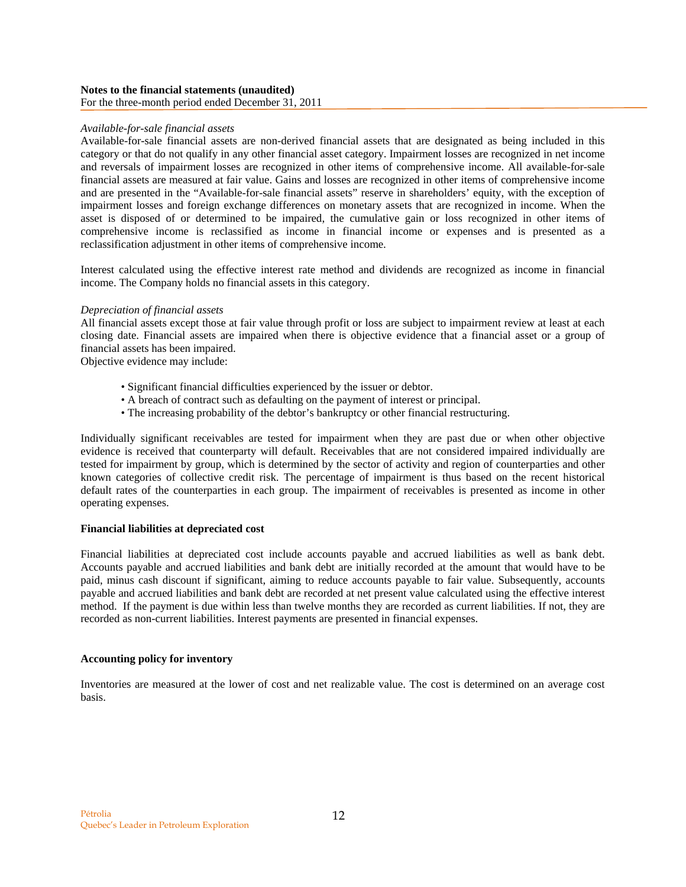### *Available-for-sale financial assets*

Available-for-sale financial assets are non-derived financial assets that are designated as being included in this category or that do not qualify in any other financial asset category. Impairment losses are recognized in net income and reversals of impairment losses are recognized in other items of comprehensive income. All available-for-sale financial assets are measured at fair value. Gains and losses are recognized in other items of comprehensive income and are presented in the "Available-for-sale financial assets" reserve in shareholders' equity, with the exception of impairment losses and foreign exchange differences on monetary assets that are recognized in income. When the asset is disposed of or determined to be impaired, the cumulative gain or loss recognized in other items of comprehensive income is reclassified as income in financial income or expenses and is presented as a reclassification adjustment in other items of comprehensive income.

Interest calculated using the effective interest rate method and dividends are recognized as income in financial income. The Company holds no financial assets in this category.

### *Depreciation of financial assets*

All financial assets except those at fair value through profit or loss are subject to impairment review at least at each closing date. Financial assets are impaired when there is objective evidence that a financial asset or a group of financial assets has been impaired.

Objective evidence may include:

- Significant financial difficulties experienced by the issuer or debtor.
- A breach of contract such as defaulting on the payment of interest or principal.
- The increasing probability of the debtor's bankruptcy or other financial restructuring.

Individually significant receivables are tested for impairment when they are past due or when other objective evidence is received that counterparty will default. Receivables that are not considered impaired individually are tested for impairment by group, which is determined by the sector of activity and region of counterparties and other known categories of collective credit risk. The percentage of impairment is thus based on the recent historical default rates of the counterparties in each group. The impairment of receivables is presented as income in other operating expenses.

### **Financial liabilities at depreciated cost**

Financial liabilities at depreciated cost include accounts payable and accrued liabilities as well as bank debt. Accounts payable and accrued liabilities and bank debt are initially recorded at the amount that would have to be paid, minus cash discount if significant, aiming to reduce accounts payable to fair value. Subsequently, accounts payable and accrued liabilities and bank debt are recorded at net present value calculated using the effective interest method. If the payment is due within less than twelve months they are recorded as current liabilities. If not, they are recorded as non-current liabilities. Interest payments are presented in financial expenses.

### **Accounting policy for inventory**

Inventories are measured at the lower of cost and net realizable value. The cost is determined on an average cost basis.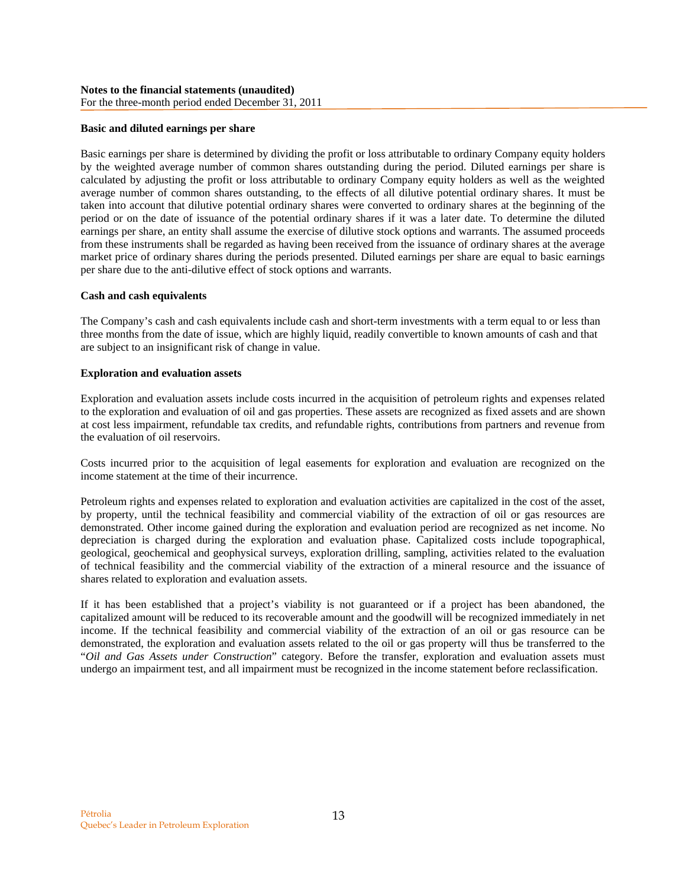### **Basic and diluted earnings per share**

Basic earnings per share is determined by dividing the profit or loss attributable to ordinary Company equity holders by the weighted average number of common shares outstanding during the period. Diluted earnings per share is calculated by adjusting the profit or loss attributable to ordinary Company equity holders as well as the weighted average number of common shares outstanding, to the effects of all dilutive potential ordinary shares. It must be taken into account that dilutive potential ordinary shares were converted to ordinary shares at the beginning of the period or on the date of issuance of the potential ordinary shares if it was a later date. To determine the diluted earnings per share, an entity shall assume the exercise of dilutive stock options and warrants. The assumed proceeds from these instruments shall be regarded as having been received from the issuance of ordinary shares at the average market price of ordinary shares during the periods presented. Diluted earnings per share are equal to basic earnings per share due to the anti-dilutive effect of stock options and warrants.

### **Cash and cash equivalents**

The Company's cash and cash equivalents include cash and short-term investments with a term equal to or less than three months from the date of issue, which are highly liquid, readily convertible to known amounts of cash and that are subject to an insignificant risk of change in value.

### **Exploration and evaluation assets**

Exploration and evaluation assets include costs incurred in the acquisition of petroleum rights and expenses related to the exploration and evaluation of oil and gas properties. These assets are recognized as fixed assets and are shown at cost less impairment, refundable tax credits, and refundable rights, contributions from partners and revenue from the evaluation of oil reservoirs.

Costs incurred prior to the acquisition of legal easements for exploration and evaluation are recognized on the income statement at the time of their incurrence.

Petroleum rights and expenses related to exploration and evaluation activities are capitalized in the cost of the asset, by property, until the technical feasibility and commercial viability of the extraction of oil or gas resources are demonstrated. Other income gained during the exploration and evaluation period are recognized as net income. No depreciation is charged during the exploration and evaluation phase. Capitalized costs include topographical, geological, geochemical and geophysical surveys, exploration drilling, sampling, activities related to the evaluation of technical feasibility and the commercial viability of the extraction of a mineral resource and the issuance of shares related to exploration and evaluation assets.

If it has been established that a project's viability is not guaranteed or if a project has been abandoned, the capitalized amount will be reduced to its recoverable amount and the goodwill will be recognized immediately in net income. If the technical feasibility and commercial viability of the extraction of an oil or gas resource can be demonstrated, the exploration and evaluation assets related to the oil or gas property will thus be transferred to the "*Oil and Gas Assets under Construction*" category. Before the transfer, exploration and evaluation assets must undergo an impairment test, and all impairment must be recognized in the income statement before reclassification.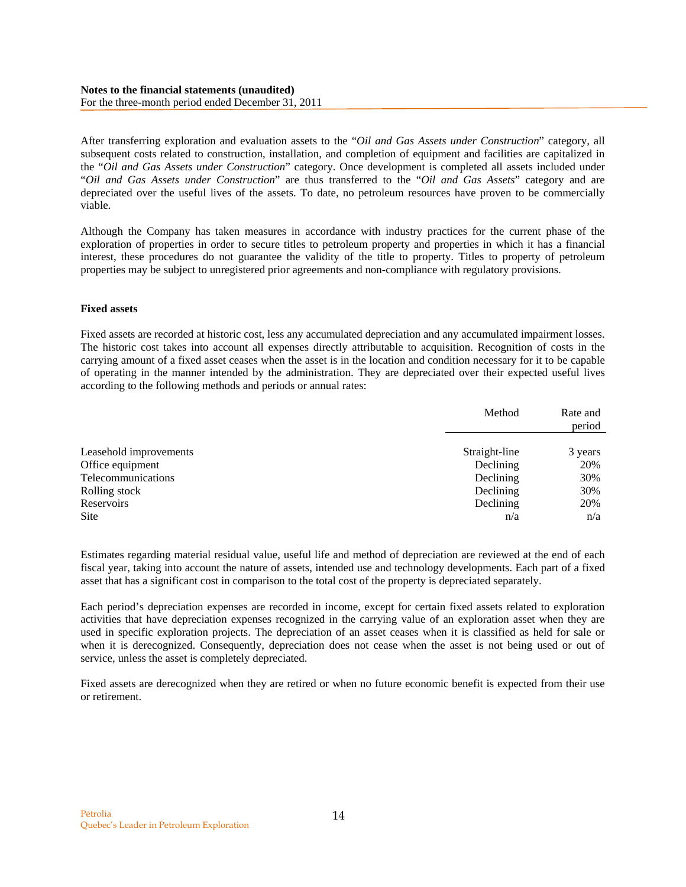### **Notes to the financial statements (unaudited)**  For the three-month period ended December 31, 2011

After transferring exploration and evaluation assets to the "*Oil and Gas Assets under Construction*" category, all subsequent costs related to construction, installation, and completion of equipment and facilities are capitalized in the "*Oil and Gas Assets under Construction*" category. Once development is completed all assets included under "*Oil and Gas Assets under Construction*" are thus transferred to the "*Oil and Gas Assets*" category and are depreciated over the useful lives of the assets. To date, no petroleum resources have proven to be commercially viable.

Although the Company has taken measures in accordance with industry practices for the current phase of the exploration of properties in order to secure titles to petroleum property and properties in which it has a financial interest, these procedures do not guarantee the validity of the title to property. Titles to property of petroleum properties may be subject to unregistered prior agreements and non-compliance with regulatory provisions.

### **Fixed assets**

Fixed assets are recorded at historic cost, less any accumulated depreciation and any accumulated impairment losses. The historic cost takes into account all expenses directly attributable to acquisition. Recognition of costs in the carrying amount of a fixed asset ceases when the asset is in the location and condition necessary for it to be capable of operating in the manner intended by the administration. They are depreciated over their expected useful lives according to the following methods and periods or annual rates:

|                        | Method        | Rate and<br>period |
|------------------------|---------------|--------------------|
|                        |               |                    |
| Leasehold improvements | Straight-line | 3 years            |
| Office equipment       | Declining     | 20%                |
| Telecommunications     | Declining     | 30%                |
| Rolling stock          | Declining     | 30%                |
| Reservoirs             | Declining     | 20%                |
| <b>Site</b>            | n/a           | n/a                |

Estimates regarding material residual value, useful life and method of depreciation are reviewed at the end of each fiscal year, taking into account the nature of assets, intended use and technology developments. Each part of a fixed asset that has a significant cost in comparison to the total cost of the property is depreciated separately.

Each period's depreciation expenses are recorded in income, except for certain fixed assets related to exploration activities that have depreciation expenses recognized in the carrying value of an exploration asset when they are used in specific exploration projects. The depreciation of an asset ceases when it is classified as held for sale or when it is derecognized. Consequently, depreciation does not cease when the asset is not being used or out of service, unless the asset is completely depreciated.

Fixed assets are derecognized when they are retired or when no future economic benefit is expected from their use or retirement.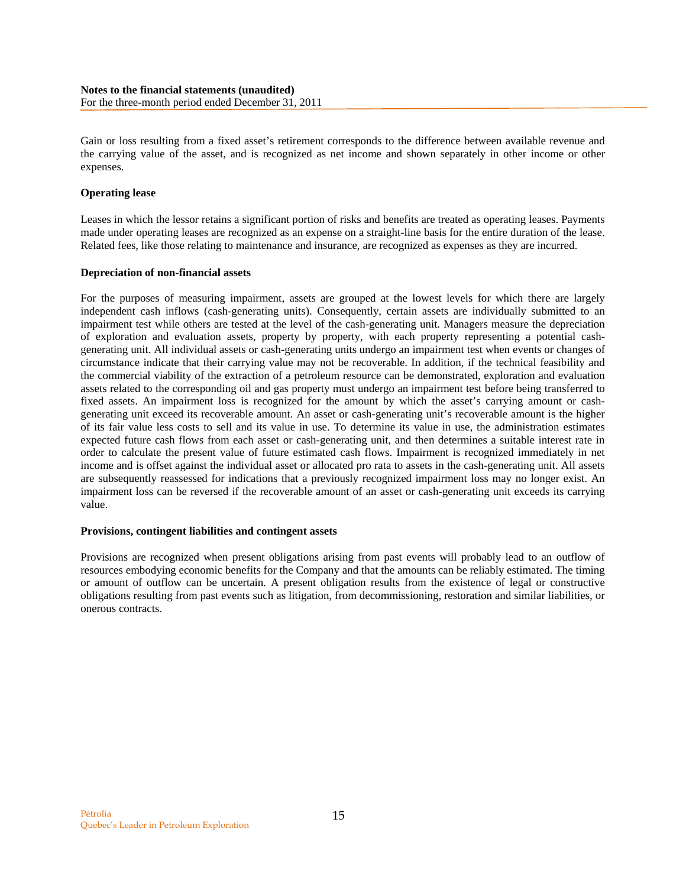Gain or loss resulting from a fixed asset's retirement corresponds to the difference between available revenue and the carrying value of the asset, and is recognized as net income and shown separately in other income or other expenses.

### **Operating lease**

Leases in which the lessor retains a significant portion of risks and benefits are treated as operating leases. Payments made under operating leases are recognized as an expense on a straight-line basis for the entire duration of the lease. Related fees, like those relating to maintenance and insurance, are recognized as expenses as they are incurred.

### **Depreciation of non-financial assets**

For the purposes of measuring impairment, assets are grouped at the lowest levels for which there are largely independent cash inflows (cash-generating units). Consequently, certain assets are individually submitted to an impairment test while others are tested at the level of the cash-generating unit. Managers measure the depreciation of exploration and evaluation assets, property by property, with each property representing a potential cashgenerating unit. All individual assets or cash-generating units undergo an impairment test when events or changes of circumstance indicate that their carrying value may not be recoverable. In addition, if the technical feasibility and the commercial viability of the extraction of a petroleum resource can be demonstrated, exploration and evaluation assets related to the corresponding oil and gas property must undergo an impairment test before being transferred to fixed assets. An impairment loss is recognized for the amount by which the asset's carrying amount or cashgenerating unit exceed its recoverable amount. An asset or cash-generating unit's recoverable amount is the higher of its fair value less costs to sell and its value in use. To determine its value in use, the administration estimates expected future cash flows from each asset or cash-generating unit, and then determines a suitable interest rate in order to calculate the present value of future estimated cash flows. Impairment is recognized immediately in net income and is offset against the individual asset or allocated pro rata to assets in the cash-generating unit. All assets are subsequently reassessed for indications that a previously recognized impairment loss may no longer exist. An impairment loss can be reversed if the recoverable amount of an asset or cash-generating unit exceeds its carrying value.

### **Provisions, contingent liabilities and contingent assets**

Provisions are recognized when present obligations arising from past events will probably lead to an outflow of resources embodying economic benefits for the Company and that the amounts can be reliably estimated. The timing or amount of outflow can be uncertain. A present obligation results from the existence of legal or constructive obligations resulting from past events such as litigation, from decommissioning, restoration and similar liabilities, or onerous contracts.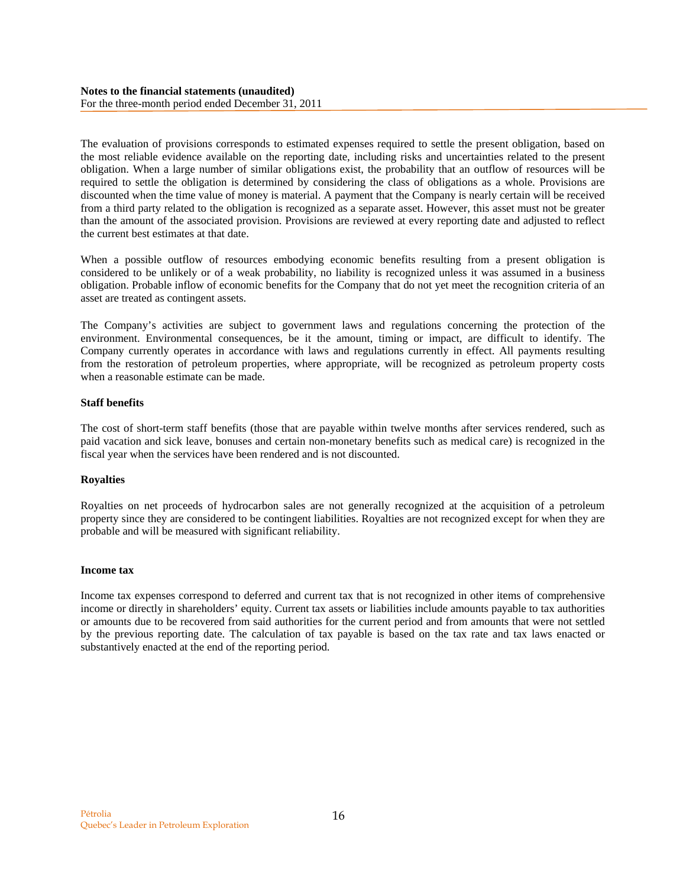The evaluation of provisions corresponds to estimated expenses required to settle the present obligation, based on the most reliable evidence available on the reporting date, including risks and uncertainties related to the present obligation. When a large number of similar obligations exist, the probability that an outflow of resources will be required to settle the obligation is determined by considering the class of obligations as a whole. Provisions are discounted when the time value of money is material. A payment that the Company is nearly certain will be received from a third party related to the obligation is recognized as a separate asset. However, this asset must not be greater than the amount of the associated provision. Provisions are reviewed at every reporting date and adjusted to reflect the current best estimates at that date.

When a possible outflow of resources embodying economic benefits resulting from a present obligation is considered to be unlikely or of a weak probability, no liability is recognized unless it was assumed in a business obligation. Probable inflow of economic benefits for the Company that do not yet meet the recognition criteria of an asset are treated as contingent assets.

The Company's activities are subject to government laws and regulations concerning the protection of the environment. Environmental consequences, be it the amount, timing or impact, are difficult to identify. The Company currently operates in accordance with laws and regulations currently in effect. All payments resulting from the restoration of petroleum properties, where appropriate, will be recognized as petroleum property costs when a reasonable estimate can be made.

### **Staff benefits**

The cost of short-term staff benefits (those that are payable within twelve months after services rendered, such as paid vacation and sick leave, bonuses and certain non-monetary benefits such as medical care) is recognized in the fiscal year when the services have been rendered and is not discounted.

# **Royalties**

Royalties on net proceeds of hydrocarbon sales are not generally recognized at the acquisition of a petroleum property since they are considered to be contingent liabilities. Royalties are not recognized except for when they are probable and will be measured with significant reliability.

### **Income tax**

Income tax expenses correspond to deferred and current tax that is not recognized in other items of comprehensive income or directly in shareholders' equity. Current tax assets or liabilities include amounts payable to tax authorities or amounts due to be recovered from said authorities for the current period and from amounts that were not settled by the previous reporting date. The calculation of tax payable is based on the tax rate and tax laws enacted or substantively enacted at the end of the reporting period.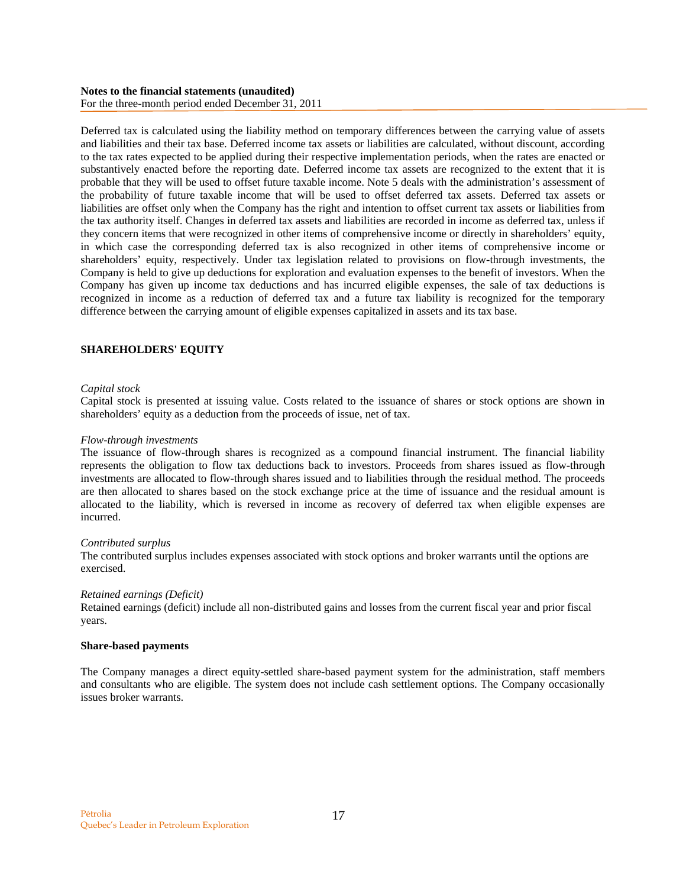### **Notes to the financial statements (unaudited)**  For the three-month period ended December 31, 2011

Deferred tax is calculated using the liability method on temporary differences between the carrying value of assets and liabilities and their tax base. Deferred income tax assets or liabilities are calculated, without discount, according to the tax rates expected to be applied during their respective implementation periods, when the rates are enacted or substantively enacted before the reporting date. Deferred income tax assets are recognized to the extent that it is probable that they will be used to offset future taxable income. Note 5 deals with the administration's assessment of the probability of future taxable income that will be used to offset deferred tax assets. Deferred tax assets or liabilities are offset only when the Company has the right and intention to offset current tax assets or liabilities from the tax authority itself. Changes in deferred tax assets and liabilities are recorded in income as deferred tax, unless if they concern items that were recognized in other items of comprehensive income or directly in shareholders' equity, in which case the corresponding deferred tax is also recognized in other items of comprehensive income or shareholders' equity, respectively. Under tax legislation related to provisions on flow-through investments, the Company is held to give up deductions for exploration and evaluation expenses to the benefit of investors. When the Company has given up income tax deductions and has incurred eligible expenses, the sale of tax deductions is recognized in income as a reduction of deferred tax and a future tax liability is recognized for the temporary difference between the carrying amount of eligible expenses capitalized in assets and its tax base.

# **SHAREHOLDERS' EQUITY**

### *Capital stock*

Capital stock is presented at issuing value. Costs related to the issuance of shares or stock options are shown in shareholders' equity as a deduction from the proceeds of issue, net of tax.

#### *Flow-through investments*

The issuance of flow-through shares is recognized as a compound financial instrument. The financial liability represents the obligation to flow tax deductions back to investors. Proceeds from shares issued as flow-through investments are allocated to flow-through shares issued and to liabilities through the residual method. The proceeds are then allocated to shares based on the stock exchange price at the time of issuance and the residual amount is allocated to the liability, which is reversed in income as recovery of deferred tax when eligible expenses are incurred.

#### *Contributed surplus*

The contributed surplus includes expenses associated with stock options and broker warrants until the options are exercised.

#### *Retained earnings (Deficit)*

Retained earnings (deficit) include all non-distributed gains and losses from the current fiscal year and prior fiscal years.

### **Share-based payments**

The Company manages a direct equity-settled share-based payment system for the administration, staff members and consultants who are eligible. The system does not include cash settlement options. The Company occasionally issues broker warrants.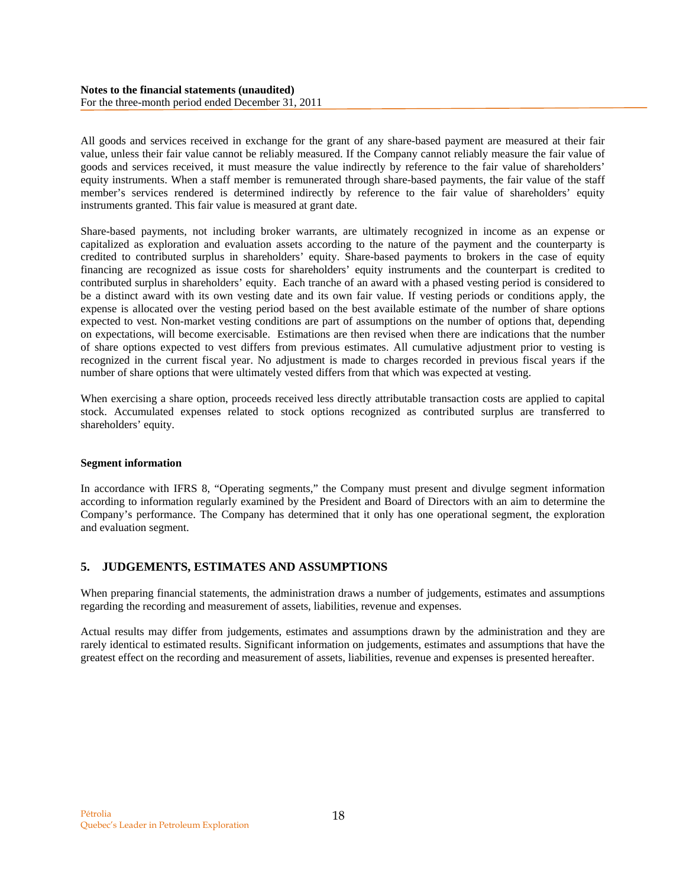All goods and services received in exchange for the grant of any share-based payment are measured at their fair value, unless their fair value cannot be reliably measured. If the Company cannot reliably measure the fair value of goods and services received, it must measure the value indirectly by reference to the fair value of shareholders' equity instruments. When a staff member is remunerated through share-based payments, the fair value of the staff member's services rendered is determined indirectly by reference to the fair value of shareholders' equity instruments granted. This fair value is measured at grant date.

Share-based payments, not including broker warrants, are ultimately recognized in income as an expense or capitalized as exploration and evaluation assets according to the nature of the payment and the counterparty is credited to contributed surplus in shareholders' equity. Share-based payments to brokers in the case of equity financing are recognized as issue costs for shareholders' equity instruments and the counterpart is credited to contributed surplus in shareholders' equity. Each tranche of an award with a phased vesting period is considered to be a distinct award with its own vesting date and its own fair value. If vesting periods or conditions apply, the expense is allocated over the vesting period based on the best available estimate of the number of share options expected to vest. Non-market vesting conditions are part of assumptions on the number of options that, depending on expectations, will become exercisable. Estimations are then revised when there are indications that the number of share options expected to vest differs from previous estimates. All cumulative adjustment prior to vesting is recognized in the current fiscal year. No adjustment is made to charges recorded in previous fiscal years if the number of share options that were ultimately vested differs from that which was expected at vesting.

When exercising a share option, proceeds received less directly attributable transaction costs are applied to capital stock. Accumulated expenses related to stock options recognized as contributed surplus are transferred to shareholders' equity.

### **Segment information**

In accordance with IFRS 8, "Operating segments," the Company must present and divulge segment information according to information regularly examined by the President and Board of Directors with an aim to determine the Company's performance. The Company has determined that it only has one operational segment, the exploration and evaluation segment.

# **5. JUDGEMENTS, ESTIMATES AND ASSUMPTIONS**

When preparing financial statements, the administration draws a number of judgements, estimates and assumptions regarding the recording and measurement of assets, liabilities, revenue and expenses.

Actual results may differ from judgements, estimates and assumptions drawn by the administration and they are rarely identical to estimated results. Significant information on judgements, estimates and assumptions that have the greatest effect on the recording and measurement of assets, liabilities, revenue and expenses is presented hereafter.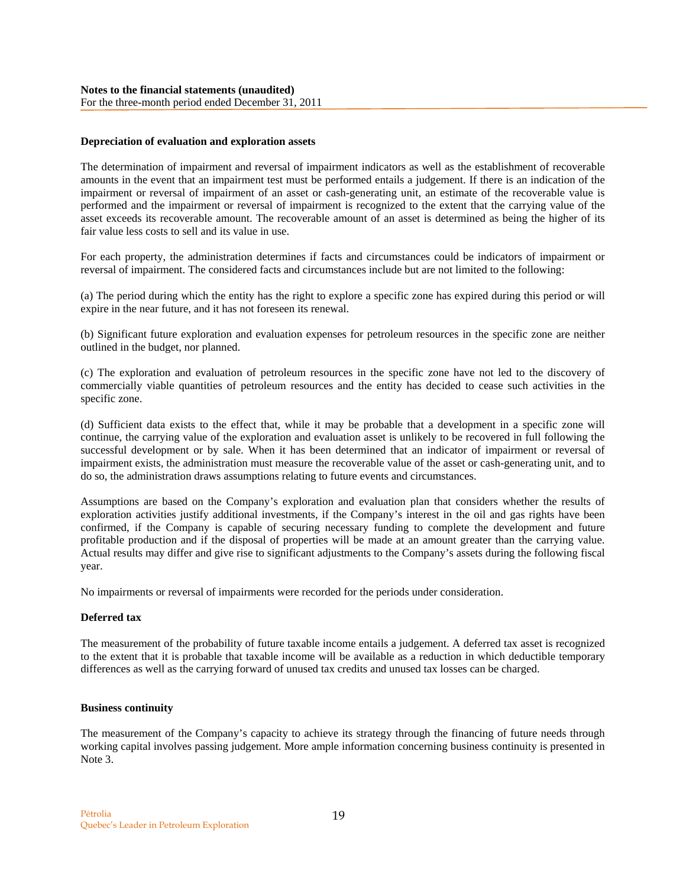### **Depreciation of evaluation and exploration assets**

The determination of impairment and reversal of impairment indicators as well as the establishment of recoverable amounts in the event that an impairment test must be performed entails a judgement. If there is an indication of the impairment or reversal of impairment of an asset or cash-generating unit, an estimate of the recoverable value is performed and the impairment or reversal of impairment is recognized to the extent that the carrying value of the asset exceeds its recoverable amount. The recoverable amount of an asset is determined as being the higher of its fair value less costs to sell and its value in use.

For each property, the administration determines if facts and circumstances could be indicators of impairment or reversal of impairment. The considered facts and circumstances include but are not limited to the following:

(a) The period during which the entity has the right to explore a specific zone has expired during this period or will expire in the near future, and it has not foreseen its renewal.

(b) Significant future exploration and evaluation expenses for petroleum resources in the specific zone are neither outlined in the budget, nor planned.

(c) The exploration and evaluation of petroleum resources in the specific zone have not led to the discovery of commercially viable quantities of petroleum resources and the entity has decided to cease such activities in the specific zone.

(d) Sufficient data exists to the effect that, while it may be probable that a development in a specific zone will continue, the carrying value of the exploration and evaluation asset is unlikely to be recovered in full following the successful development or by sale. When it has been determined that an indicator of impairment or reversal of impairment exists, the administration must measure the recoverable value of the asset or cash-generating unit, and to do so, the administration draws assumptions relating to future events and circumstances.

Assumptions are based on the Company's exploration and evaluation plan that considers whether the results of exploration activities justify additional investments, if the Company's interest in the oil and gas rights have been confirmed, if the Company is capable of securing necessary funding to complete the development and future profitable production and if the disposal of properties will be made at an amount greater than the carrying value. Actual results may differ and give rise to significant adjustments to the Company's assets during the following fiscal year.

No impairments or reversal of impairments were recorded for the periods under consideration.

### **Deferred tax**

The measurement of the probability of future taxable income entails a judgement. A deferred tax asset is recognized to the extent that it is probable that taxable income will be available as a reduction in which deductible temporary differences as well as the carrying forward of unused tax credits and unused tax losses can be charged.

### **Business continuity**

The measurement of the Company's capacity to achieve its strategy through the financing of future needs through working capital involves passing judgement. More ample information concerning business continuity is presented in Note 3.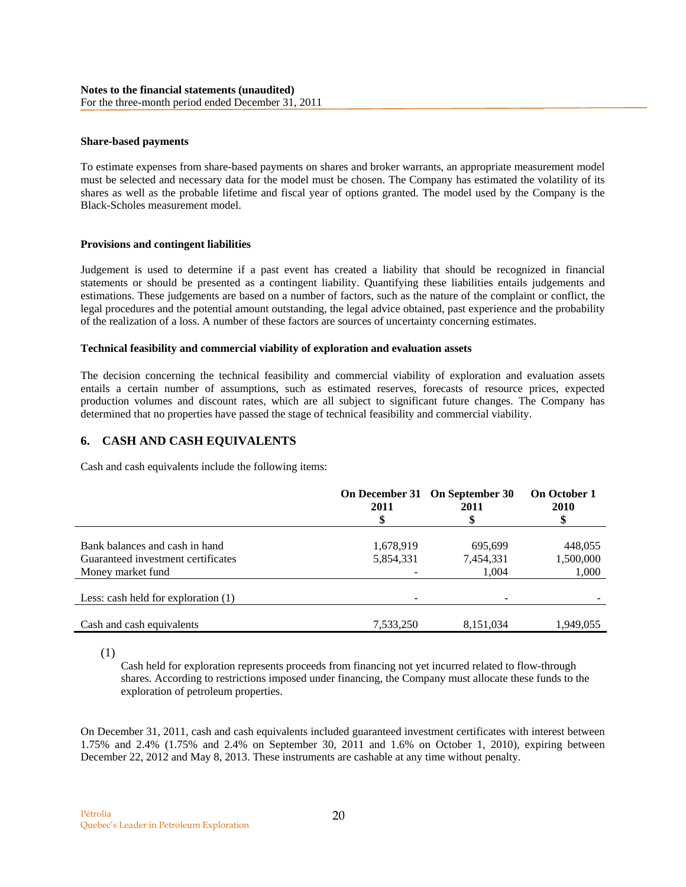### **Share-based payments**

To estimate expenses from share-based payments on shares and broker warrants, an appropriate measurement model must be selected and necessary data for the model must be chosen. The Company has estimated the volatility of its shares as well as the probable lifetime and fiscal year of options granted. The model used by the Company is the Black-Scholes measurement model.

#### **Provisions and contingent liabilities**

Judgement is used to determine if a past event has created a liability that should be recognized in financial statements or should be presented as a contingent liability. Quantifying these liabilities entails judgements and estimations. These judgements are based on a number of factors, such as the nature of the complaint or conflict, the legal procedures and the potential amount outstanding, the legal advice obtained, past experience and the probability of the realization of a loss. A number of these factors are sources of uncertainty concerning estimates.

#### **Technical feasibility and commercial viability of exploration and evaluation assets**

The decision concerning the technical feasibility and commercial viability of exploration and evaluation assets entails a certain number of assumptions, such as estimated reserves, forecasts of resource prices, expected production volumes and discount rates, which are all subject to significant future changes. The Company has determined that no properties have passed the stage of technical feasibility and commercial viability.

### **6. CASH AND CASH EQUIVALENTS**

Cash and cash equivalents include the following items:

|                                       | 2011      | On December 31 On September 30<br>2011 | <b>On October 1</b><br><b>2010</b> |
|---------------------------------------|-----------|----------------------------------------|------------------------------------|
|                                       |           |                                        |                                    |
| Bank balances and cash in hand        | 1,678,919 | 695,699                                | 448,055                            |
| Guaranteed investment certificates    | 5,854,331 | 7,454,331                              | 1,500,000                          |
| Money market fund                     |           | 1.004                                  | 1,000                              |
| Less: cash held for exploration $(1)$ |           |                                        |                                    |
|                                       |           |                                        |                                    |
| Cash and cash equivalents             | 7,533,250 | 8,151,034                              | 1,949,055                          |

(1)

Cash held for exploration represents proceeds from financing not yet incurred related to flow-through shares. According to restrictions imposed under financing, the Company must allocate these funds to the exploration of petroleum properties.

On December 31, 2011, cash and cash equivalents included guaranteed investment certificates with interest between 1.75% and 2.4% (1.75% and 2.4% on September 30, 2011 and 1.6% on October 1, 2010), expiring between December 22, 2012 and May 8, 2013. These instruments are cashable at any time without penalty.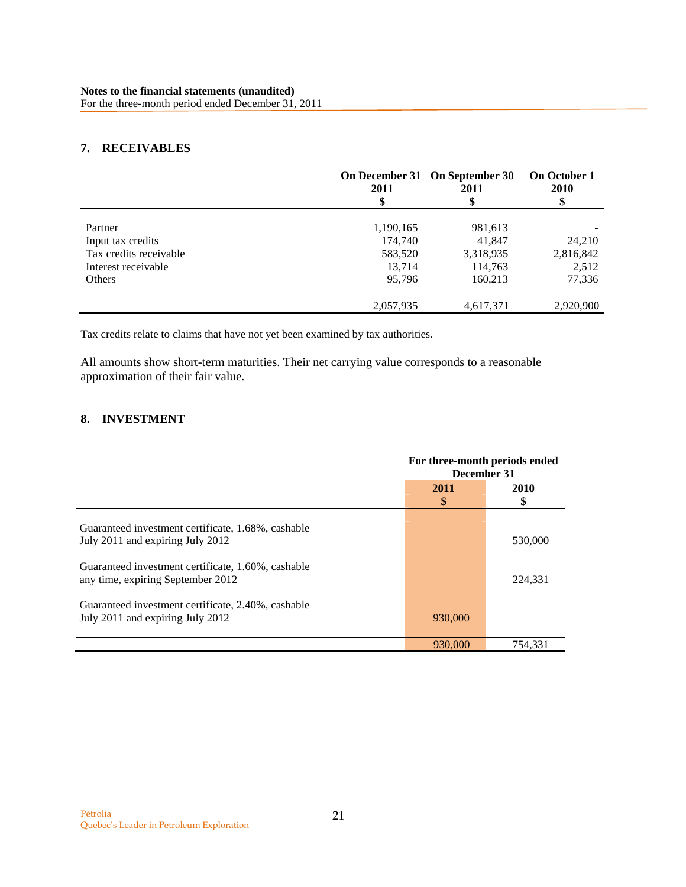# **7. RECEIVABLES**

|                        | 2011      | On December 31 On September 30<br>2011<br>\$ | <b>On October 1</b><br>2010<br>\$ |
|------------------------|-----------|----------------------------------------------|-----------------------------------|
|                        |           |                                              |                                   |
| Partner                | 1,190,165 | 981,613                                      |                                   |
| Input tax credits      | 174,740   | 41,847                                       | 24,210                            |
| Tax credits receivable | 583,520   | 3,318,935                                    | 2,816,842                         |
| Interest receivable    | 13,714    | 114,763                                      | 2,512                             |
| Others                 | 95,796    | 160,213                                      | 77,336                            |
|                        |           |                                              |                                   |
|                        | 2,057,935 | 4,617,371                                    | 2.920.900                         |

Tax credits relate to claims that have not yet been examined by tax authorities.

All amounts show short-term maturities. Their net carrying value corresponds to a reasonable approximation of their fair value.

# **8. INVESTMENT**

|                                                                                         | For three-month periods ended<br>December 31 |            |  |
|-----------------------------------------------------------------------------------------|----------------------------------------------|------------|--|
|                                                                                         | 2011<br>\$                                   | 2010<br>\$ |  |
| Guaranteed investment certificate, 1.68%, cashable<br>July 2011 and expiring July 2012  |                                              | 530,000    |  |
| Guaranteed investment certificate, 1.60%, cashable<br>any time, expiring September 2012 |                                              | 224,331    |  |
| Guaranteed investment certificate, 2.40%, cashable<br>July 2011 and expiring July 2012  | 930,000                                      |            |  |
|                                                                                         | 930,000                                      | 754.331    |  |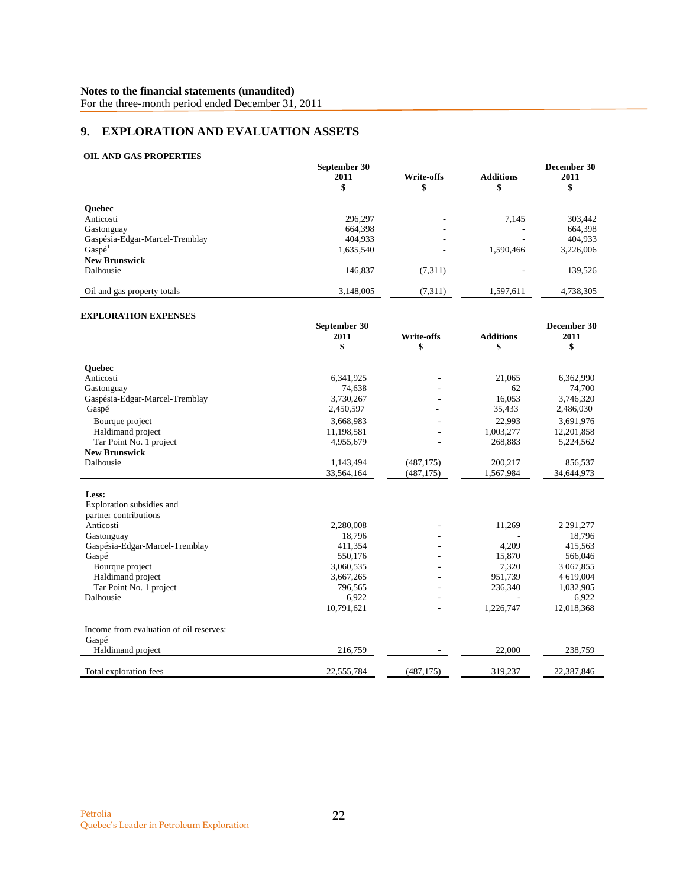For the three-month period ended December 31, 2011

# **9. EXPLORATION AND EVALUATION ASSETS**

### **OIL AND GAS PROPERTIES**

|                                | September 30<br>2011 | Write-offs | <b>Additions</b> | December 30<br>2011 |
|--------------------------------|----------------------|------------|------------------|---------------------|
| <b>Ouebec</b>                  |                      |            |                  |                     |
| Anticosti                      | 296,297              |            | 7.145            | 303,442             |
| Gastonguay                     | 664.398              |            |                  | 664,398             |
| Gaspésia-Edgar-Marcel-Tremblay | 404,933              |            |                  | 404,933             |
| Gaspé <sup>1</sup>             | 1,635,540            | ۰          | 1,590,466        | 3,226,006           |
| <b>New Brunswick</b>           |                      |            |                  |                     |
| Dalhousie                      | 146,837              | (7,311)    |                  | 139,526             |
| Oil and gas property totals    | 3,148,005            | (7,311)    | 1,597,611        | 4,738,305           |

#### **EXPLORATION EXPENSES**

|                                                             | September 30 |                   |                  | December 30   |
|-------------------------------------------------------------|--------------|-------------------|------------------|---------------|
|                                                             | 2011         | <b>Write-offs</b> | <b>Additions</b> | 2011          |
|                                                             | \$           | \$                | \$               | \$            |
| <b>Ouebec</b>                                               |              |                   |                  |               |
| Anticosti                                                   | 6,341,925    |                   | 21,065           | 6,362,990     |
| Gastonguay                                                  | 74,638       |                   | 62               | 74,700        |
| Gaspésia-Edgar-Marcel-Tremblay                              | 3,730,267    |                   | 16,053           | 3,746,320     |
| Gaspé                                                       | 2,450,597    |                   | 35,433           | 2,486,030     |
|                                                             | 3,668,983    |                   | 22,993           | 3,691,976     |
| Bourque project                                             |              |                   |                  |               |
| Haldimand project                                           | 11,198,581   |                   | 1,003,277        | 12,201,858    |
| Tar Point No. 1 project<br><b>New Brunswick</b>             | 4,955,679    |                   | 268,883          | 5,224,562     |
| Dalhousie                                                   | 1,143,494    | (487, 175)        | 200,217          | 856,537       |
|                                                             | 33,564,164   | (487, 175)        | 1,567,984        | 34,644,973    |
| Less:<br>Exploration subsidies and<br>partner contributions |              |                   |                  |               |
| Anticosti                                                   | 2,280,008    |                   | 11,269           | 2 2 9 1 , 277 |
| Gastonguay                                                  | 18,796       |                   |                  | 18,796        |
| Gaspésia-Edgar-Marcel-Tremblay                              | 411,354      |                   | 4,209            | 415,563       |
| Gaspé                                                       | 550,176      |                   | 15,870           | 566,046       |
| Bourque project                                             | 3,060,535    |                   | 7,320            | 3 067,855     |
| Haldimand project                                           | 3,667,265    |                   | 951,739          | 4 619,004     |
| Tar Point No. 1 project                                     | 796,565      |                   | 236,340          | 1,032,905     |
| Dalhousie                                                   | 6,922        |                   |                  | 6,922         |
|                                                             | 10,791,621   |                   | 1,226,747        | 12,018,368    |
| Income from evaluation of oil reserves:<br>Gaspé            |              |                   |                  |               |
| Haldimand project                                           | 216,759      |                   | 22,000           | 238,759       |
| Total exploration fees                                      | 22,555,784   | (487, 175)        | 319,237          | 22,387,846    |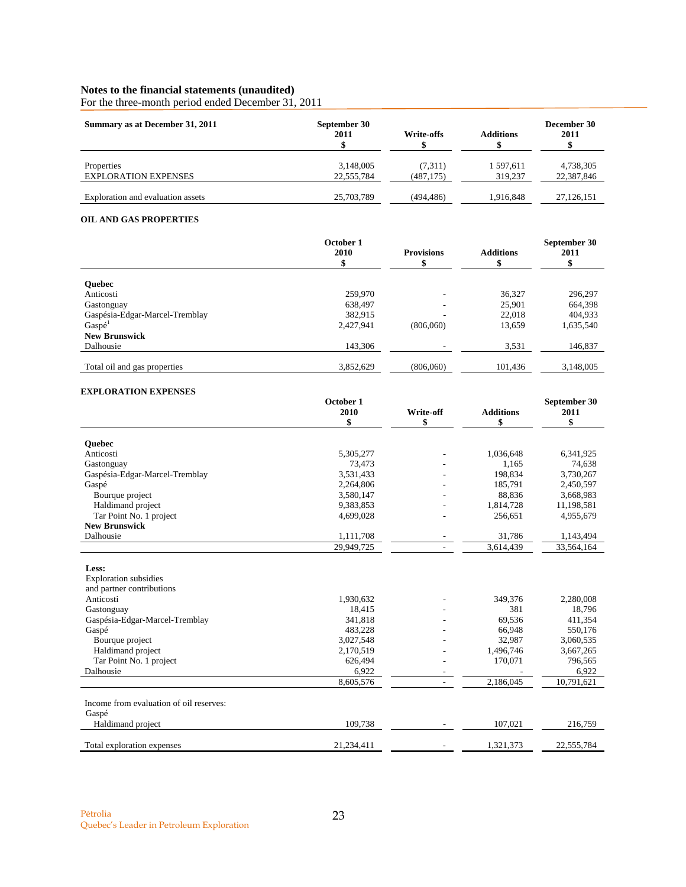For the three-month period ended December 31, 2011

| Summary as at December 31, 2011   | September 30<br>2011 | Write-offs | <b>Additions</b> | December 30<br>2011 |
|-----------------------------------|----------------------|------------|------------------|---------------------|
| Properties                        | 3,148,005            | (7,311)    | 1597.611         | 4,738,305           |
| <b>EXPLORATION EXPENSES</b>       | 22,555,784           | (487, 175) | 319,237          | 22,387,846          |
| Exploration and evaluation assets | 25,703,789           | (494, 486) | 1,916,848        | 27,126,151          |

# **OIL AND GAS PROPERTIES**

| October 1<br>2010 | <b>Provisions</b> | <b>Additions</b> | September 30<br>2011 |
|-------------------|-------------------|------------------|----------------------|
|                   |                   |                  |                      |
| 259,970           |                   | 36,327           | 296,297              |
| 638,497           |                   | 25,901           | 664,398              |
| 382.915           |                   | 22,018           | 404,933              |
| 2,427,941         | (806,060)         | 13,659           | 1,635,540            |
|                   |                   |                  |                      |
| 143,306           |                   | 3,531            | 146,837              |
|                   |                   |                  |                      |
| 3,852,629         | (806,060)         | 101,436          | 3,148,005            |
|                   |                   |                  |                      |

### **EXPLORATION EXPENSES**

|                                         | October 1  |                          |                  | September 30 |
|-----------------------------------------|------------|--------------------------|------------------|--------------|
|                                         | 2010       | Write-off                | <b>Additions</b> | 2011         |
|                                         | \$         | \$                       | \$               | \$           |
| <b>Ouebec</b>                           |            |                          |                  |              |
| Anticosti                               | 5,305,277  |                          | 1,036,648        | 6,341,925    |
| Gastonguay                              | 73,473     |                          | 1,165            | 74,638       |
| Gaspésia-Edgar-Marcel-Tremblay          | 3,531,433  |                          | 198,834          | 3,730,267    |
| Gaspé                                   | 2,264,806  |                          | 185,791          | 2,450,597    |
| Bourque project                         | 3,580,147  |                          | 88,836           | 3,668,983    |
| Haldimand project                       | 9,383,853  |                          | 1,814,728        | 11,198,581   |
| Tar Point No. 1 project                 | 4,699,028  |                          | 256,651          | 4,955,679    |
| <b>New Brunswick</b>                    |            |                          |                  |              |
| Dalhousie                               | 1,111,708  |                          | 31,786           | 1,143,494    |
|                                         | 29,949,725 |                          | 3,614,439        | 33,564,164   |
| Less:                                   |            |                          |                  |              |
| <b>Exploration</b> subsidies            |            |                          |                  |              |
| and partner contributions               |            |                          |                  |              |
| Anticosti                               | 1,930,632  |                          | 349,376          | 2,280,008    |
| Gastonguay                              | 18,415     |                          | 381              | 18,796       |
| Gaspésia-Edgar-Marcel-Tremblay          | 341,818    |                          | 69,536           | 411,354      |
| Gaspé                                   | 483,228    |                          | 66,948           | 550,176      |
| Bourque project                         | 3,027,548  |                          | 32,987           | 3,060,535    |
| Haldimand project                       | 2,170,519  |                          | 1,496,746        | 3,667,265    |
| Tar Point No. 1 project                 | 626,494    |                          | 170,071          | 796,565      |
| Dalhousie                               | 6,922      | $\overline{\phantom{a}}$ |                  | 6,922        |
|                                         | 8,605,576  |                          | 2,186,045        | 10,791,621   |
|                                         |            |                          |                  |              |
| Income from evaluation of oil reserves: |            |                          |                  |              |
| Gaspé                                   |            |                          |                  |              |
| Haldimand project                       | 109,738    |                          | 107,021          | 216,759      |
| Total exploration expenses              | 21,234,411 |                          | 1,321,373        | 22,555,784   |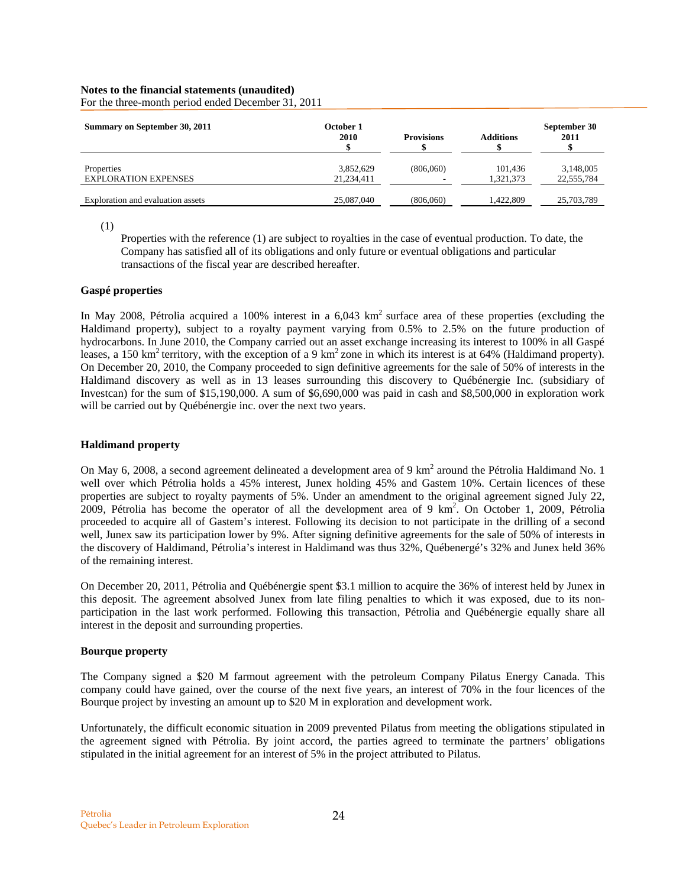| Summary on September 30, 2011     | October 1<br>2010 | <b>Provisions</b> | <b>Additions</b> | September 30<br>2011 |
|-----------------------------------|-------------------|-------------------|------------------|----------------------|
| Properties                        | 3,852,629         | (806,060)         | 101,436          | 3,148,005            |
| <b>EXPLORATION EXPENSES</b>       | 21,234,411        | ۰                 | 1.321.373        | 22,555,784           |
| Exploration and evaluation assets | 25,087,040        | (806,060)         | 1.422.809        | 25,703,789           |

For the three-month period ended December 31, 2011

(1)

Properties with the reference (1) are subject to royalties in the case of eventual production. To date, the Company has satisfied all of its obligations and only future or eventual obligations and particular transactions of the fiscal year are described hereafter.

### **Gaspé properties**

In May 2008, Pétrolia acquired a 100% interest in a  $6.043 \text{ km}^2$  surface area of these properties (excluding the Haldimand property), subject to a royalty payment varying from 0.5% to 2.5% on the future production of hydrocarbons. In June 2010, the Company carried out an asset exchange increasing its interest to 100% in all Gaspé leases, a 150 km<sup>2</sup> territory, with the exception of a 9 km<sup>2</sup> zone in which its interest is at 64% (Haldimand property). On December 20, 2010, the Company proceeded to sign definitive agreements for the sale of 50% of interests in the Haldimand discovery as well as in 13 leases surrounding this discovery to Québénergie Inc. (subsidiary of Investcan) for the sum of \$15,190,000. A sum of \$6,690,000 was paid in cash and \$8,500,000 in exploration work will be carried out by Québénergie inc. over the next two years.

# **Haldimand property**

On May 6, 2008, a second agreement delineated a development area of 9  $km^2$  around the Pétrolia Haldimand No. 1 well over which Pétrolia holds a 45% interest, Junex holding 45% and Gastem 10%. Certain licences of these properties are subject to royalty payments of 5%. Under an amendment to the original agreement signed July 22, 2009, Pétrolia has become the operator of all the development area of 9 km<sup>2</sup>. On October 1, 2009, Pétrolia proceeded to acquire all of Gastem's interest. Following its decision to not participate in the drilling of a second well, Junex saw its participation lower by 9%. After signing definitive agreements for the sale of 50% of interests in the discovery of Haldimand, Pétrolia's interest in Haldimand was thus 32%, Québenergé's 32% and Junex held 36% of the remaining interest.

On December 20, 2011, Pétrolia and Québénergie spent \$3.1 million to acquire the 36% of interest held by Junex in this deposit. The agreement absolved Junex from late filing penalties to which it was exposed, due to its nonparticipation in the last work performed. Following this transaction, Pétrolia and Québénergie equally share all interest in the deposit and surrounding properties.

# **Bourque property**

The Company signed a \$20 M farmout agreement with the petroleum Company Pilatus Energy Canada. This company could have gained, over the course of the next five years, an interest of 70% in the four licences of the Bourque project by investing an amount up to \$20 M in exploration and development work.

Unfortunately, the difficult economic situation in 2009 prevented Pilatus from meeting the obligations stipulated in the agreement signed with Pétrolia. By joint accord, the parties agreed to terminate the partners' obligations stipulated in the initial agreement for an interest of 5% in the project attributed to Pilatus.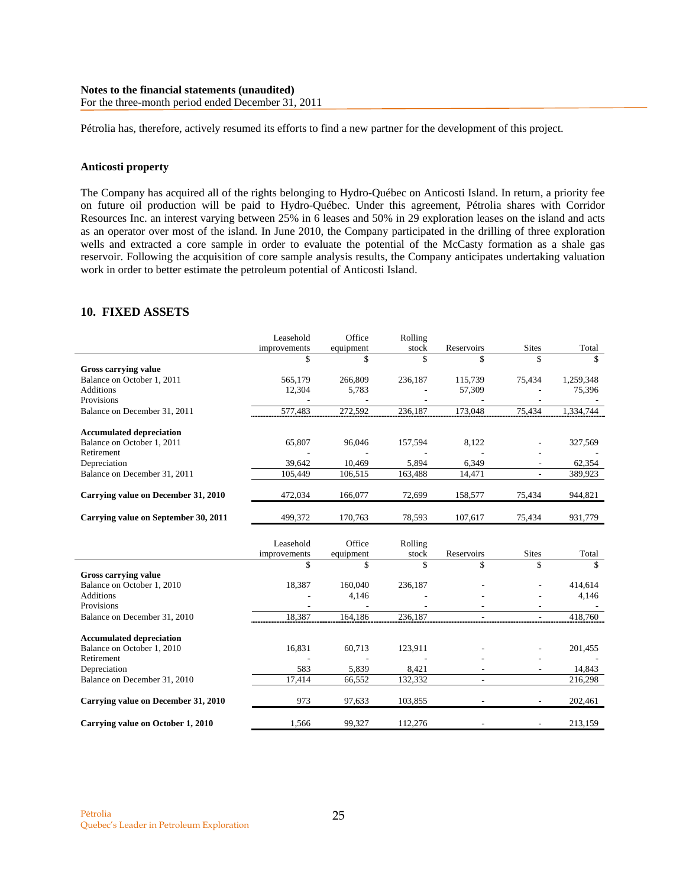Pétrolia has, therefore, actively resumed its efforts to find a new partner for the development of this project.

### **Anticosti property**

The Company has acquired all of the rights belonging to Hydro-Québec on Anticosti Island. In return, a priority fee on future oil production will be paid to Hydro-Québec. Under this agreement, Pétrolia shares with Corridor Resources Inc. an interest varying between 25% in 6 leases and 50% in 29 exploration leases on the island and acts as an operator over most of the island. In June 2010, the Company participated in the drilling of three exploration wells and extracted a core sample in order to evaluate the potential of the McCasty formation as a shale gas reservoir. Following the acquisition of core sample analysis results, the Company anticipates undertaking valuation work in order to better estimate the petroleum potential of Anticosti Island.

# **10. FIXED ASSETS**

|                                      | Leasehold    | Office      | Rolling |                          |                          |           |
|--------------------------------------|--------------|-------------|---------|--------------------------|--------------------------|-----------|
|                                      | improvements | equipment   | stock   | Reservoirs               | <b>Sites</b>             | Total     |
|                                      | \$           | \$          | \$      | \$                       | \$                       | \$        |
| <b>Gross carrying value</b>          |              |             |         |                          |                          |           |
| Balance on October 1, 2011           | 565,179      | 266,809     | 236,187 | 115,739                  | 75,434                   | 1,259,348 |
| <b>Additions</b>                     | 12,304       | 5,783       |         | 57,309                   |                          | 75,396    |
| Provisions                           |              |             |         |                          |                          |           |
| Balance on December 31, 2011         | 577,483      | 272,592     | 236,187 | 173,048                  | 75,434                   | 1,334,744 |
| <b>Accumulated depreciation</b>      |              |             |         |                          |                          |           |
| Balance on October 1, 2011           | 65,807       | 96,046      | 157,594 | 8,122                    |                          | 327,569   |
| Retirement                           |              |             |         |                          |                          |           |
| Depreciation                         | 39,642       | 10,469      | 5,894   | 6,349                    |                          | 62,354    |
| Balance on December 31, 2011         | 105,449      | 106,515     | 163,488 | 14,471                   | ÷.                       | 389,923   |
| Carrying value on December 31, 2010  | 472,034      | 166,077     | 72,699  | 158,577                  | 75,434                   | 944,821   |
| Carrying value on September 30, 2011 | 499,372      | 170,763     | 78,593  | 107,617                  | 75,434                   | 931,779   |
|                                      |              |             |         |                          |                          |           |
|                                      | Leasehold    | Office      | Rolling |                          |                          |           |
|                                      | improvements | equipment   | stock   | Reservoirs               | <b>Sites</b>             | Total     |
|                                      | \$           | $\mathbf S$ | \$      | \$                       | \$                       | \$        |
| <b>Gross carrying value</b>          |              |             |         |                          |                          |           |
| Balance on October 1, 2010           | 18,387       | 160,040     | 236,187 |                          |                          | 414,614   |
| <b>Additions</b>                     |              | 4,146       |         |                          |                          | 4,146     |
| Provisions                           |              |             |         |                          |                          |           |
| Balance on December 31, 2010         | 18,387       | 164.186     | 236,187 | $\overline{\phantom{a}}$ | $\overline{\phantom{a}}$ | 418,760   |
| <b>Accumulated depreciation</b>      |              |             |         |                          |                          |           |
| Balance on October 1, 2010           | 16,831       | 60,713      | 123,911 |                          |                          | 201,455   |
| Retirement                           |              |             |         |                          |                          |           |
| Depreciation                         | 583          | 5,839       | 8,421   |                          |                          | 14,843    |
| Balance on December 31, 2010         | 17,414       | 66,552      | 132,332 | $\overline{\phantom{a}}$ |                          | 216,298   |
| Carrying value on December 31, 2010  | 973          | 97,633      | 103,855 |                          | $\overline{\phantom{a}}$ | 202,461   |
| Carrying value on October 1, 2010    | 1,566        | 99,327      | 112,276 |                          | $\overline{\phantom{a}}$ | 213,159   |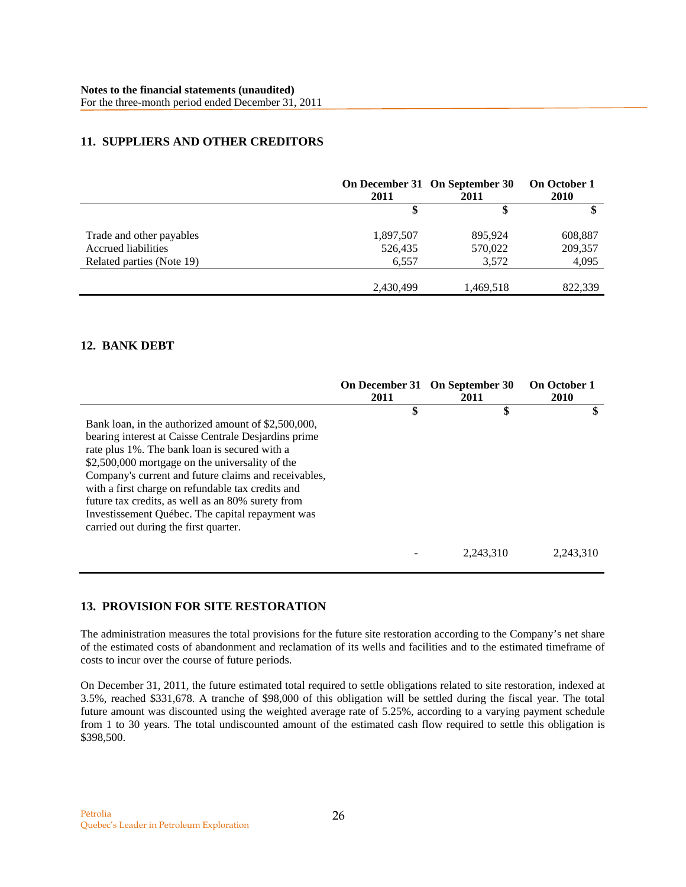# **11. SUPPLIERS AND OTHER CREDITORS**

|                            | 2011      | On December 31 On September 30<br>2011 | On October 1<br><b>2010</b> |
|----------------------------|-----------|----------------------------------------|-----------------------------|
|                            |           |                                        |                             |
| Trade and other payables   | 1,897,507 | 895,924                                | 608,887                     |
| <b>Accrued liabilities</b> | 526,435   | 570,022                                | 209,357                     |
| Related parties (Note 19)  | 6,557     | 3,572                                  | 4,095                       |
|                            | 2,430,499 | 1,469,518                              | 822,339                     |

# **12. BANK DEBT**

|                                                                                                                                                                                                                                                                                                                                                                                                                                                                                | 2011 | On December 31 On September 30<br>2011 | <b>On October 1</b><br><b>2010</b> |
|--------------------------------------------------------------------------------------------------------------------------------------------------------------------------------------------------------------------------------------------------------------------------------------------------------------------------------------------------------------------------------------------------------------------------------------------------------------------------------|------|----------------------------------------|------------------------------------|
| Bank loan, in the authorized amount of \$2,500,000,<br>bearing interest at Caisse Centrale Desjarding prime<br>rate plus 1%. The bank loan is secured with a<br>\$2,500,000 mortgage on the universality of the<br>Company's current and future claims and receivables,<br>with a first charge on refundable tax credits and<br>future tax credits, as well as an 80% surety from<br>Investissement Québec. The capital repayment was<br>carried out during the first quarter. | \$   | \$                                     | \$                                 |
|                                                                                                                                                                                                                                                                                                                                                                                                                                                                                |      | 2,243,310                              | 2,243,310                          |

# **13. PROVISION FOR SITE RESTORATION**

The administration measures the total provisions for the future site restoration according to the Company's net share of the estimated costs of abandonment and reclamation of its wells and facilities and to the estimated timeframe of costs to incur over the course of future periods.

On December 31, 2011, the future estimated total required to settle obligations related to site restoration, indexed at 3.5%, reached \$331,678. A tranche of \$98,000 of this obligation will be settled during the fiscal year. The total future amount was discounted using the weighted average rate of 5.25%, according to a varying payment schedule from 1 to 30 years. The total undiscounted amount of the estimated cash flow required to settle this obligation is \$398,500.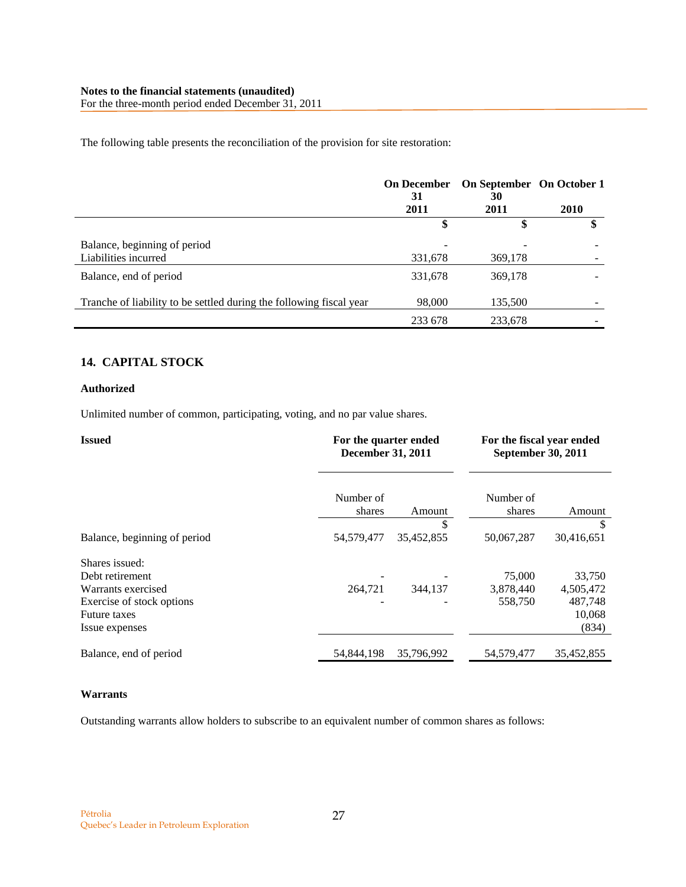The following table presents the reconciliation of the provision for site restoration:

|                                                                     | <b>On December</b><br>31 | On September On October 1<br>30 |             |
|---------------------------------------------------------------------|--------------------------|---------------------------------|-------------|
|                                                                     | 2011                     | 2011                            | <b>2010</b> |
|                                                                     | \$                       | \$                              |             |
| Balance, beginning of period<br>Liabilities incurred                | 331,678                  | 369,178                         |             |
| Balance, end of period                                              | 331,678                  | 369,178                         |             |
| Tranche of liability to be settled during the following fiscal year | 98,000                   | 135,500                         |             |
|                                                                     | 233 678                  | 233,678                         |             |

# **14. CAPITAL STOCK**

# **Authorized**

Unlimited number of common, participating, voting, and no par value shares.

| <b>Issued</b>                                                                                                                 |                     | For the quarter ended<br><b>December 31, 2011</b> |                                | For the fiscal year ended<br><b>September 30, 2011</b> |  |
|-------------------------------------------------------------------------------------------------------------------------------|---------------------|---------------------------------------------------|--------------------------------|--------------------------------------------------------|--|
|                                                                                                                               | Number of<br>shares | Amount                                            | Number of<br>shares            | Amount                                                 |  |
| Balance, beginning of period                                                                                                  | 54,579,477          | \$<br>35,452,855                                  | 50,067,287                     | S<br>30,416,651                                        |  |
| Shares issued:<br>Debt retirement<br>Warrants exercised<br>Exercise of stock options<br><b>Future taxes</b><br>Issue expenses | 264,721             | 344,137                                           | 75,000<br>3,878,440<br>558,750 | 33,750<br>4,505,472<br>487,748<br>10,068<br>(834)      |  |
| Balance, end of period                                                                                                        | 54,844,198          | 35,796,992                                        | 54,579,477                     | 35,452,855                                             |  |

# **Warrants**

Outstanding warrants allow holders to subscribe to an equivalent number of common shares as follows: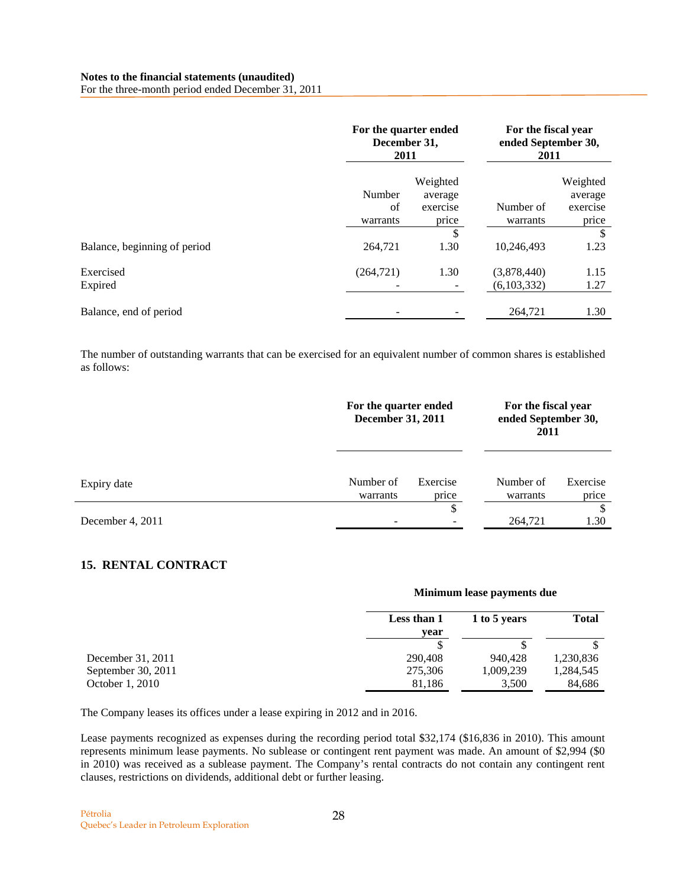For the three-month period ended December 31, 2011

|                              | For the quarter ended<br>December 31,<br>2011 |                                                          | For the fiscal year<br>ended September 30,<br>2011 |                                                |
|------------------------------|-----------------------------------------------|----------------------------------------------------------|----------------------------------------------------|------------------------------------------------|
|                              | Number<br>of<br>warrants                      | Weighted<br>average<br>exercise<br>price<br>$\mathbb{S}$ | Number of<br>warrants                              | Weighted<br>average<br>exercise<br>price<br>\$ |
| Balance, beginning of period | 264,721                                       | 1.30                                                     | 10,246,493                                         | 1.23                                           |
| Exercised<br>Expired         | (264, 721)                                    | 1.30                                                     | (3,878,440)<br>(6,103,332)                         | 1.15<br>1.27                                   |
| Balance, end of period       |                                               |                                                          | 264,721                                            | 1.30                                           |

The number of outstanding warrants that can be exercised for an equivalent number of common shares is established as follows:

|                  |                       | For the quarter ended<br><b>December 31, 2011</b> |                       | For the fiscal year<br>ended September 30,<br>2011 |
|------------------|-----------------------|---------------------------------------------------|-----------------------|----------------------------------------------------|
| Expiry date      | Number of<br>warrants | Exercise<br>price                                 | Number of<br>warrants | Exercise<br>price                                  |
| December 4, 2011 |                       | \$                                                | 264,721               | <sup>\$</sup><br>1.30                              |

# **15. RENTAL CONTRACT**

|                    | Minimum lease payments due |              |           |  |
|--------------------|----------------------------|--------------|-----------|--|
|                    | Less than 1<br>year        | <b>Total</b> |           |  |
|                    |                            |              |           |  |
| December 31, 2011  | 290,408                    | 940,428      | 1,230,836 |  |
| September 30, 2011 | 275,306                    | 1,009,239    | 1,284,545 |  |
| October 1, 2010    | 81,186                     | 3,500        | 84,686    |  |

The Company leases its offices under a lease expiring in 2012 and in 2016.

Lease payments recognized as expenses during the recording period total \$32,174 (\$16,836 in 2010). This amount represents minimum lease payments. No sublease or contingent rent payment was made. An amount of \$2,994 (\$0 in 2010) was received as a sublease payment. The Company's rental contracts do not contain any contingent rent clauses, restrictions on dividends, additional debt or further leasing.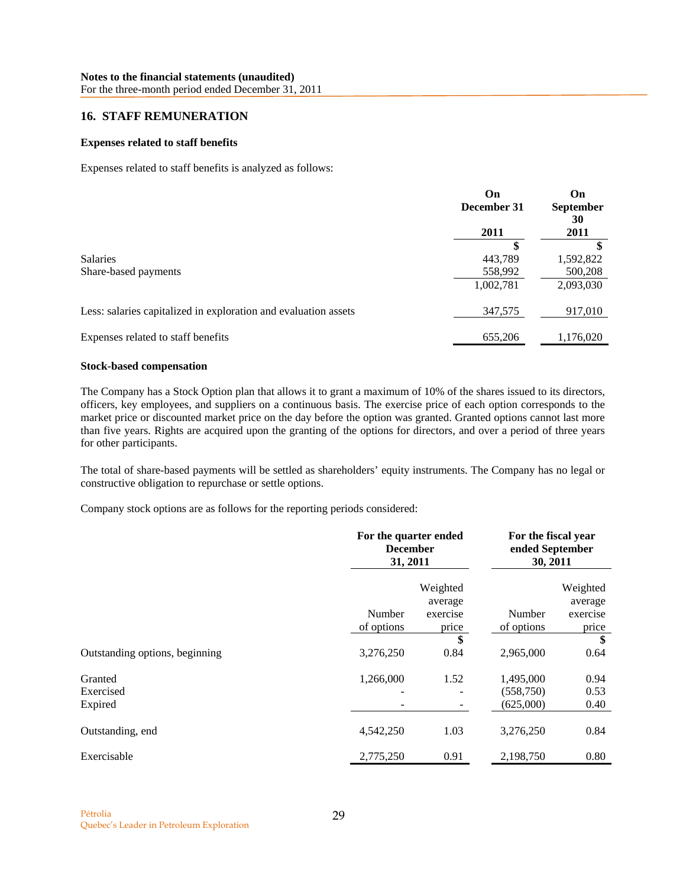# **16. STAFF REMUNERATION**

# **Expenses related to staff benefits**

Expenses related to staff benefits is analyzed as follows:

|                                                                 | On<br>December 31 | On<br><b>September</b><br>30 |
|-----------------------------------------------------------------|-------------------|------------------------------|
|                                                                 | 2011              | 2011                         |
|                                                                 | S                 |                              |
| <b>Salaries</b>                                                 | 443,789           | 1,592,822                    |
| Share-based payments                                            | 558,992           | 500,208                      |
|                                                                 | 1,002,781         | 2,093,030                    |
| Less: salaries capitalized in exploration and evaluation assets | 347,575           | 917,010                      |
| Expenses related to staff benefits                              | 655,206           | 1,176,020                    |

#### **Stock-based compensation**

The Company has a Stock Option plan that allows it to grant a maximum of 10% of the shares issued to its directors, officers, key employees, and suppliers on a continuous basis. The exercise price of each option corresponds to the market price or discounted market price on the day before the option was granted. Granted options cannot last more than five years. Rights are acquired upon the granting of the options for directors, and over a period of three years for other participants.

The total of share-based payments will be settled as shareholders' equity instruments. The Company has no legal or constructive obligation to repurchase or settle options.

Company stock options are as follows for the reporting periods considered:

|                                 | For the quarter ended<br><b>December</b><br>31, 2011 |                                          | For the fiscal year<br>ended September<br>30, 2011 |                                          |
|---------------------------------|------------------------------------------------------|------------------------------------------|----------------------------------------------------|------------------------------------------|
|                                 | Number<br>of options                                 | Weighted<br>average<br>exercise<br>price | Number<br>of options                               | Weighted<br>average<br>exercise<br>price |
| Outstanding options, beginning  | 3,276,250                                            | \$<br>0.84                               | 2,965,000                                          | \$<br>0.64                               |
| Granted<br>Exercised<br>Expired | 1,266,000                                            | 1.52                                     | 1,495,000<br>(558,750)<br>(625,000)                | 0.94<br>0.53<br>0.40                     |
| Outstanding, end                | 4,542,250                                            | 1.03                                     | 3,276,250                                          | 0.84                                     |
| Exercisable                     | 2,775,250                                            | 0.91                                     | 2,198,750                                          | 0.80                                     |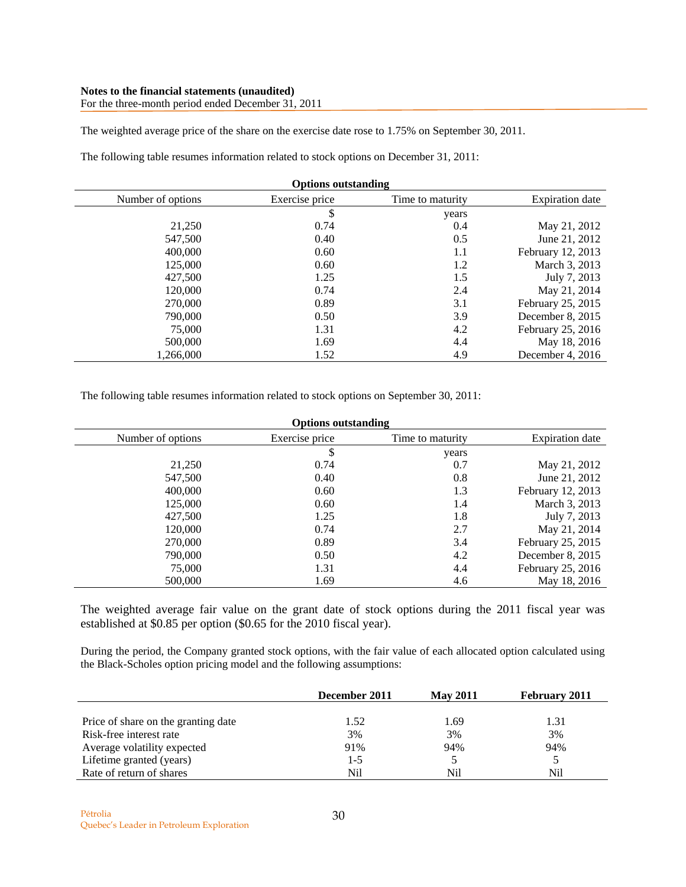### **Notes to the financial statements (unaudited)**  For the three-month period ended December 31, 2011

The weighted average price of the share on the exercise date rose to 1.75% on September 30, 2011.

The following table resumes information related to stock options on December 31, 2011:

| <b>Options outstanding</b> |                |                  |                        |
|----------------------------|----------------|------------------|------------------------|
| Number of options          | Exercise price | Time to maturity | <b>Expiration</b> date |
|                            | \$             | years            |                        |
| 21,250                     | 0.74           | 0.4              | May 21, 2012           |
| 547,500                    | 0.40           | 0.5              | June 21, 2012          |
| 400,000                    | 0.60           | 1.1              | February 12, 2013      |
| 125,000                    | 0.60           | 1.2              | March 3, 2013          |
| 427,500                    | 1.25           | 1.5              | July 7, 2013           |
| 120,000                    | 0.74           | 2.4              | May 21, 2014           |
| 270,000                    | 0.89           | 3.1              | February 25, 2015      |
| 790,000                    | 0.50           | 3.9              | December 8, 2015       |
| 75,000                     | 1.31           | 4.2              | February 25, 2016      |
| 500,000                    | 1.69           | 4.4              | May 18, 2016           |
| 1.266.000                  | 1.52           | 4.9              | December 4, $2016$     |

The following table resumes information related to stock options on September 30, 2011:

| <b>Options outstanding</b> |                |                  |                        |
|----------------------------|----------------|------------------|------------------------|
| Number of options          | Exercise price | Time to maturity | <b>Expiration</b> date |
|                            | \$             | years            |                        |
| 21,250                     | 0.74           | 0.7              | May 21, 2012           |
| 547,500                    | 0.40           | 0.8              | June 21, 2012          |
| 400,000                    | 0.60           | 1.3              | February 12, 2013      |
| 125,000                    | 0.60           | 1.4              | March 3, 2013          |
| 427,500                    | 1.25           | 1.8              | July 7, 2013           |
| 120,000                    | 0.74           | 2.7              | May 21, 2014           |
| 270,000                    | 0.89           | 3.4              | February 25, 2015      |
| 790,000                    | 0.50           | 4.2              | December 8, 2015       |
| 75,000                     | 1.31           | 4.4              | February 25, 2016      |
| 500,000                    | 1.69           | 4.6              | May 18, 2016           |

The weighted average fair value on the grant date of stock options during the 2011 fiscal year was established at \$0.85 per option (\$0.65 for the 2010 fiscal year).

During the period, the Company granted stock options, with the fair value of each allocated option calculated using the Black-Scholes option pricing model and the following assumptions:

|                                     | December 2011 | <b>May 2011</b> | <b>February 2011</b> |
|-------------------------------------|---------------|-----------------|----------------------|
|                                     |               |                 |                      |
| Price of share on the granting date | 1.52          | 1.69            | 1.31                 |
| Risk-free interest rate             | 3%            | 3%              | 3%                   |
| Average volatility expected         | 91%           | 94%             | 94%                  |
| Lifetime granted (years)            | $1 - 5$       |                 |                      |
| Rate of return of shares            | Nil           | Nil             | Nil                  |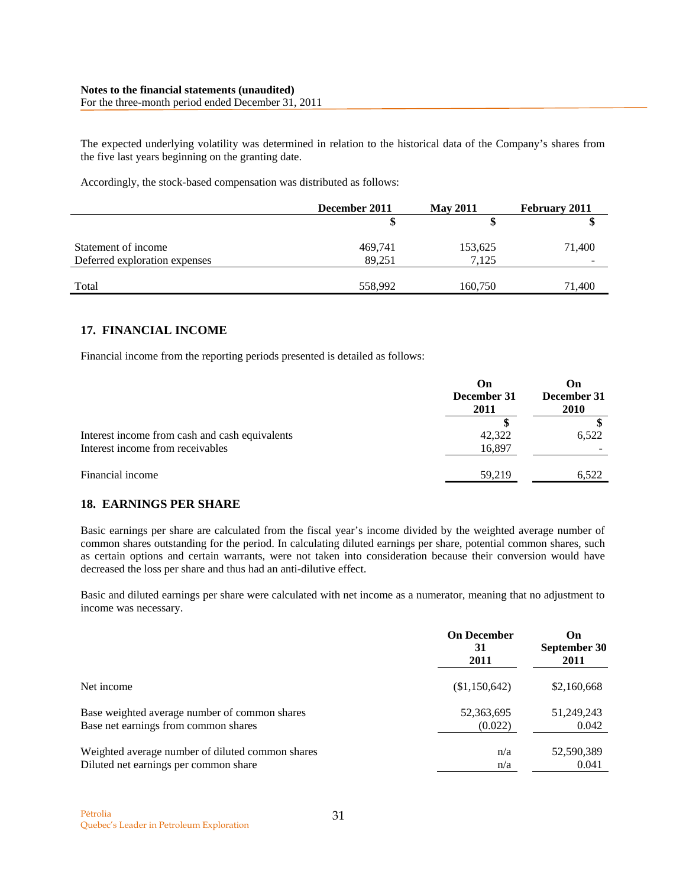The expected underlying volatility was determined in relation to the historical data of the Company's shares from the five last years beginning on the granting date.

Accordingly, the stock-based compensation was distributed as follows:

|                               | December 2011 | <b>May 2011</b> | February 2011 |
|-------------------------------|---------------|-----------------|---------------|
|                               |               |                 |               |
| Statement of income           | 469,741       | 153,625         | 71,400        |
| Deferred exploration expenses | 89.251        | 7,125           | -             |
| Total                         | 558,992       | 160,750         | 71,400        |

# **17. FINANCIAL INCOME**

Financial income from the reporting periods presented is detailed as follows:

|                                                                                    | On<br>December 31<br>2011 | On<br>December 31<br><b>2010</b> |
|------------------------------------------------------------------------------------|---------------------------|----------------------------------|
| Interest income from cash and cash equivalents<br>Interest income from receivables | 42,322<br>16,897          | 6,522                            |
| Financial income                                                                   | 59,219                    | 6,522                            |

# **18. EARNINGS PER SHARE**

Basic earnings per share are calculated from the fiscal year's income divided by the weighted average number of common shares outstanding for the period. In calculating diluted earnings per share, potential common shares, such as certain options and certain warrants, were not taken into consideration because their conversion would have decreased the loss per share and thus had an anti-dilutive effect.

Basic and diluted earnings per share were calculated with net income as a numerator, meaning that no adjustment to income was necessary.

|                                                  | <b>On December</b><br>31<br>2011 | On<br>September 30<br>2011 |
|--------------------------------------------------|----------------------------------|----------------------------|
| Net income                                       | (\$1,150,642)                    | \$2,160,668                |
| Base weighted average number of common shares    | 52,363,695                       | 51,249,243                 |
| Base net earnings from common shares             | (0.022)                          | 0.042                      |
| Weighted average number of diluted common shares | n/a                              | 52,590,389                 |
| Diluted net earnings per common share            | n/a                              | 0.041                      |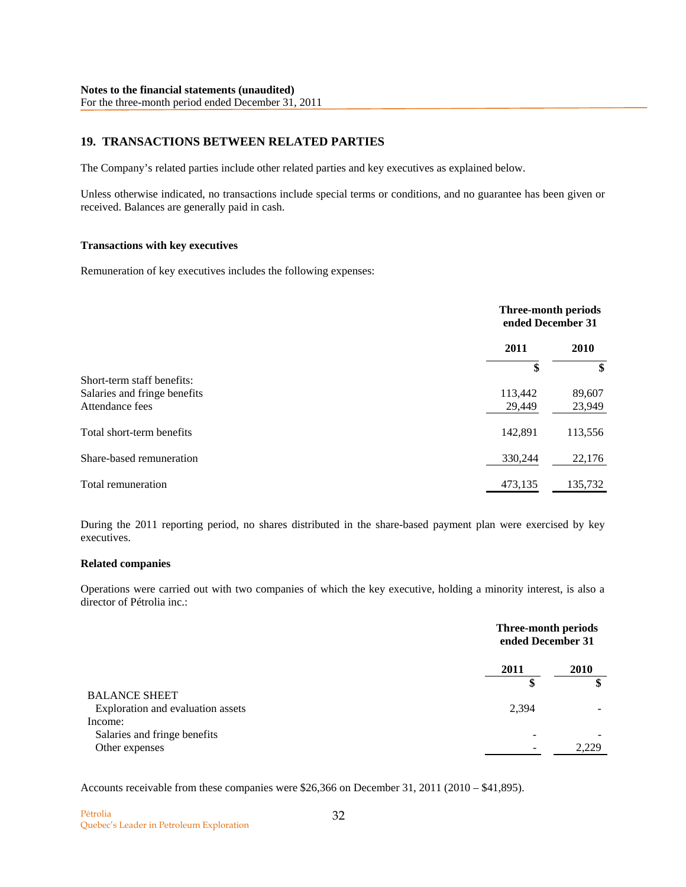# **19. TRANSACTIONS BETWEEN RELATED PARTIES**

The Company's related parties include other related parties and key executives as explained below.

Unless otherwise indicated, no transactions include special terms or conditions, and no guarantee has been given or received. Balances are generally paid in cash.

### **Transactions with key executives**

Remuneration of key executives includes the following expenses:

|                              |         | <b>Three-month periods</b><br>ended December 31 |  |
|------------------------------|---------|-------------------------------------------------|--|
|                              | 2011    | 2010                                            |  |
|                              | \$      | \$                                              |  |
| Short-term staff benefits:   |         |                                                 |  |
| Salaries and fringe benefits | 113,442 | 89,607                                          |  |
| Attendance fees              | 29,449  | 23,949                                          |  |
| Total short-term benefits    | 142,891 | 113,556                                         |  |
| Share-based remuneration     | 330,244 | 22,176                                          |  |
| Total remuneration           | 473,135 | 135,732                                         |  |

During the 2011 reporting period, no shares distributed in the share-based payment plan were exercised by key executives.

#### **Related companies**

Operations were carried out with two companies of which the key executive, holding a minority interest, is also a director of Pétrolia inc.:

|                                            | Three-month periods<br>ended December 31 |  |
|--------------------------------------------|------------------------------------------|--|
| 2011<br>2010                               |                                          |  |
| \$                                         | \$                                       |  |
| <b>BALANCE SHEET</b>                       |                                          |  |
| 2,394<br>Exploration and evaluation assets |                                          |  |
| Income:                                    |                                          |  |
| Salaries and fringe benefits               |                                          |  |
| Other expenses                             | 2.229                                    |  |

Accounts receivable from these companies were \$26,366 on December 31, 2011 (2010 – \$41,895).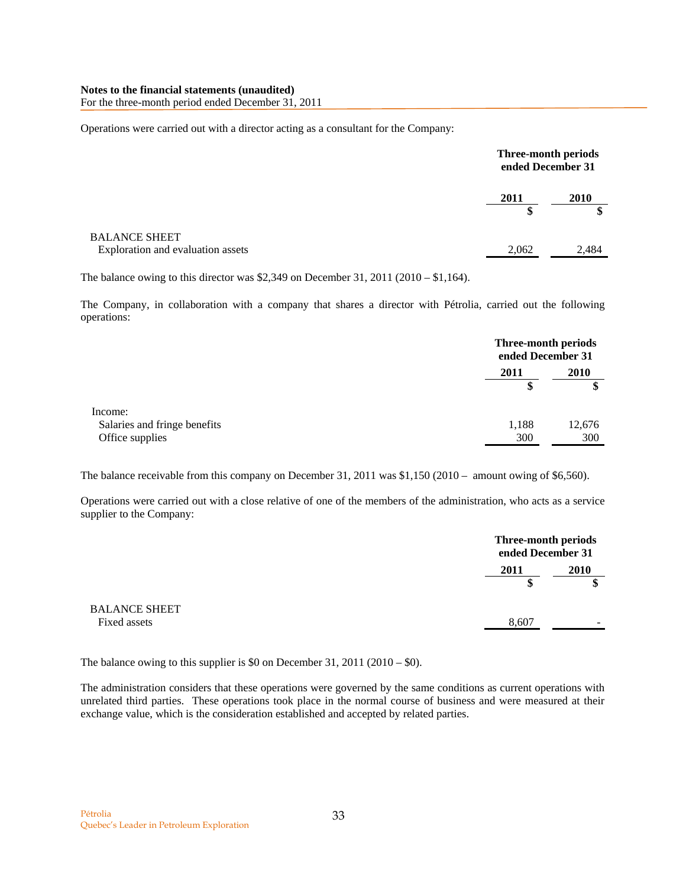For the three-month period ended December 31, 2011

Operations were carried out with a director acting as a consultant for the Company:

|                                                           |            | Three-month periods<br>ended December 31 |
|-----------------------------------------------------------|------------|------------------------------------------|
|                                                           | 2011<br>\$ | 2010                                     |
| <b>BALANCE SHEET</b><br>Exploration and evaluation assets | 2,062      | 2,484                                    |

The balance owing to this director was \$2,349 on December 31, 2011 (2010 – \$1,164).

The Company, in collaboration with a company that shares a director with Pétrolia, carried out the following operations:

|                              |       | Three-month periods<br>ended December 31 |  |
|------------------------------|-------|------------------------------------------|--|
|                              | 2011  | 2010                                     |  |
|                              | \$    | \$                                       |  |
| Income:                      |       |                                          |  |
| Salaries and fringe benefits | 1,188 | 12,676                                   |  |
| Office supplies              | 300   | 300                                      |  |

The balance receivable from this company on December 31, 2011 was \$1,150 (2010 – amount owing of \$6,560).

Operations were carried out with a close relative of one of the members of the administration, who acts as a service supplier to the Company:

|                                      |       | Three-month periods<br>ended December 31 |  |
|--------------------------------------|-------|------------------------------------------|--|
|                                      | 2011  | 2010                                     |  |
| <b>BALANCE SHEET</b><br>Fixed assets | 8,607 | -                                        |  |

The balance owing to this supplier is \$0 on December 31, 2011 (2010 – \$0).

The administration considers that these operations were governed by the same conditions as current operations with unrelated third parties. These operations took place in the normal course of business and were measured at their exchange value, which is the consideration established and accepted by related parties.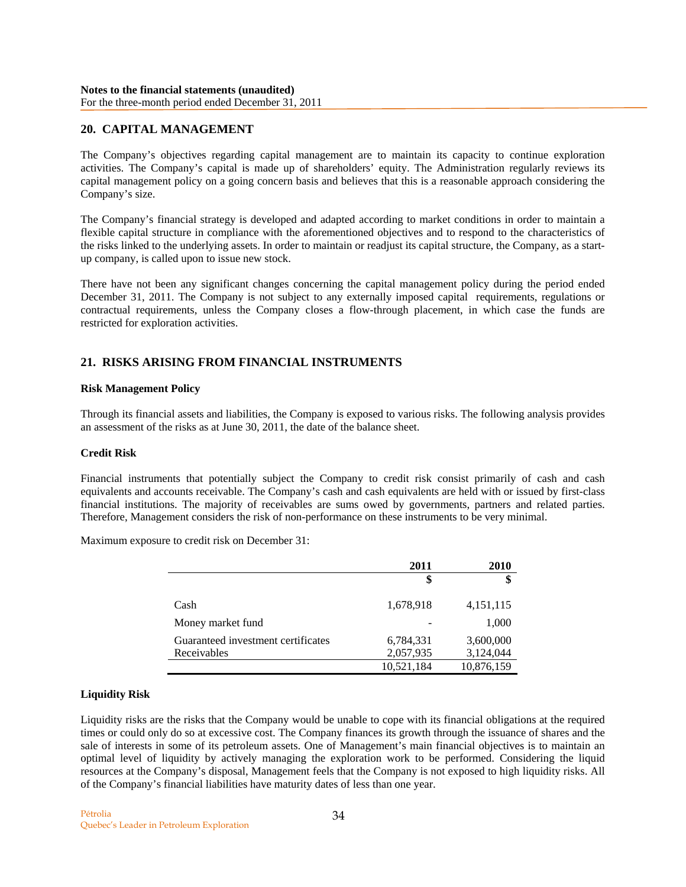# **20. CAPITAL MANAGEMENT**

The Company's objectives regarding capital management are to maintain its capacity to continue exploration activities. The Company's capital is made up of shareholders' equity. The Administration regularly reviews its capital management policy on a going concern basis and believes that this is a reasonable approach considering the Company's size.

The Company's financial strategy is developed and adapted according to market conditions in order to maintain a flexible capital structure in compliance with the aforementioned objectives and to respond to the characteristics of the risks linked to the underlying assets. In order to maintain or readjust its capital structure, the Company, as a startup company, is called upon to issue new stock.

There have not been any significant changes concerning the capital management policy during the period ended December 31, 2011. The Company is not subject to any externally imposed capital requirements, regulations or contractual requirements, unless the Company closes a flow-through placement, in which case the funds are restricted for exploration activities.

# **21. RISKS ARISING FROM FINANCIAL INSTRUMENTS**

### **Risk Management Policy**

Through its financial assets and liabilities, the Company is exposed to various risks. The following analysis provides an assessment of the risks as at June 30, 2011, the date of the balance sheet.

# **Credit Risk**

Financial instruments that potentially subject the Company to credit risk consist primarily of cash and cash equivalents and accounts receivable. The Company's cash and cash equivalents are held with or issued by first-class financial institutions. The majority of receivables are sums owed by governments, partners and related parties. Therefore, Management considers the risk of non-performance on these instruments to be very minimal.

Maximum exposure to credit risk on December 31:

|                                    | 2011       | <b>2010</b> |
|------------------------------------|------------|-------------|
|                                    | \$         |             |
| Cash                               | 1,678,918  | 4, 151, 115 |
| Money market fund                  |            | 1,000       |
| Guaranteed investment certificates | 6,784,331  | 3,600,000   |
| Receivables                        | 2,057,935  | 3,124,044   |
|                                    | 10,521,184 | 10,876,159  |

### **Liquidity Risk**

Liquidity risks are the risks that the Company would be unable to cope with its financial obligations at the required times or could only do so at excessive cost. The Company finances its growth through the issuance of shares and the sale of interests in some of its petroleum assets. One of Management's main financial objectives is to maintain an optimal level of liquidity by actively managing the exploration work to be performed. Considering the liquid resources at the Company's disposal, Management feels that the Company is not exposed to high liquidity risks. All of the Company's financial liabilities have maturity dates of less than one year.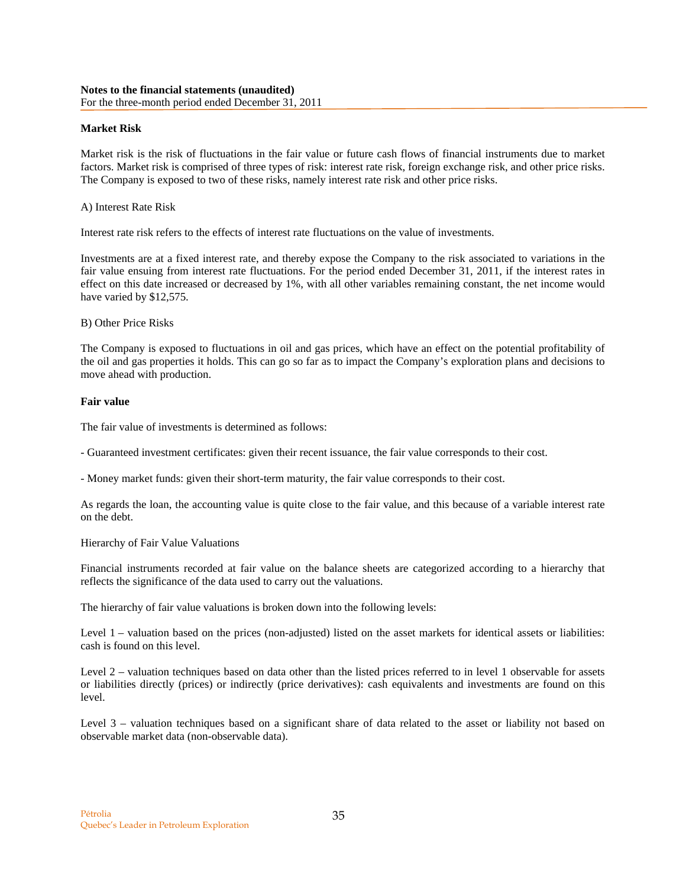### **Market Risk**

Market risk is the risk of fluctuations in the fair value or future cash flows of financial instruments due to market factors. Market risk is comprised of three types of risk: interest rate risk, foreign exchange risk, and other price risks. The Company is exposed to two of these risks, namely interest rate risk and other price risks.

### A) Interest Rate Risk

Interest rate risk refers to the effects of interest rate fluctuations on the value of investments.

Investments are at a fixed interest rate, and thereby expose the Company to the risk associated to variations in the fair value ensuing from interest rate fluctuations. For the period ended December 31, 2011, if the interest rates in effect on this date increased or decreased by 1%, with all other variables remaining constant, the net income would have varied by \$12,575.

### B) Other Price Risks

The Company is exposed to fluctuations in oil and gas prices, which have an effect on the potential profitability of the oil and gas properties it holds. This can go so far as to impact the Company's exploration plans and decisions to move ahead with production.

### **Fair value**

The fair value of investments is determined as follows:

- Guaranteed investment certificates: given their recent issuance, the fair value corresponds to their cost.

- Money market funds: given their short-term maturity, the fair value corresponds to their cost.

As regards the loan, the accounting value is quite close to the fair value, and this because of a variable interest rate on the debt.

### Hierarchy of Fair Value Valuations

Financial instruments recorded at fair value on the balance sheets are categorized according to a hierarchy that reflects the significance of the data used to carry out the valuations.

The hierarchy of fair value valuations is broken down into the following levels:

Level 1 – valuation based on the prices (non-adjusted) listed on the asset markets for identical assets or liabilities: cash is found on this level.

Level 2 – valuation techniques based on data other than the listed prices referred to in level 1 observable for assets or liabilities directly (prices) or indirectly (price derivatives): cash equivalents and investments are found on this level.

Level 3 – valuation techniques based on a significant share of data related to the asset or liability not based on observable market data (non-observable data).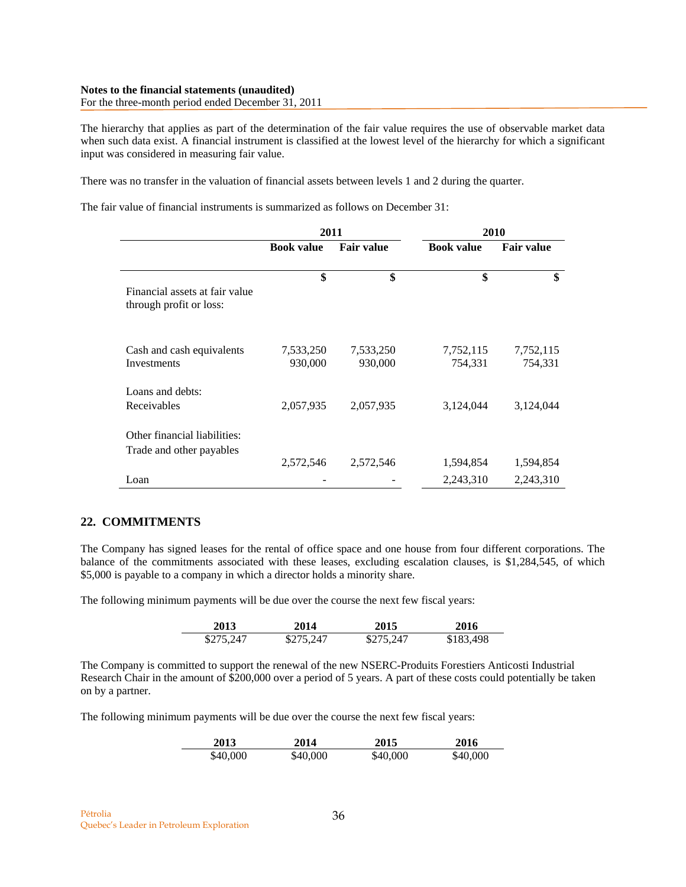For the three-month period ended December 31, 2011

The hierarchy that applies as part of the determination of the fair value requires the use of observable market data when such data exist. A financial instrument is classified at the lowest level of the hierarchy for which a significant input was considered in measuring fair value.

There was no transfer in the valuation of financial assets between levels 1 and 2 during the quarter.

The fair value of financial instruments is summarized as follows on December 31:

|                                                           | 2011                 |                      | 2010                 |                      |  |
|-----------------------------------------------------------|----------------------|----------------------|----------------------|----------------------|--|
|                                                           | <b>Book value</b>    | <b>Fair value</b>    | <b>Book value</b>    | <b>Fair value</b>    |  |
| Financial assets at fair value<br>through profit or loss: | \$                   | \$                   | \$                   | \$                   |  |
| Cash and cash equivalents<br>Investments                  | 7,533,250<br>930,000 | 7,533,250<br>930,000 | 7,752,115<br>754,331 | 7,752,115<br>754,331 |  |
| Loans and debts:<br>Receivables                           | 2,057,935            | 2,057,935            | 3,124,044            | 3,124,044            |  |
| Other financial liabilities:<br>Trade and other payables  | 2,572,546            | 2,572,546            | 1,594,854            | 1,594,854            |  |
| Loan                                                      |                      |                      | 2,243,310            | 2,243,310            |  |

# **22. COMMITMENTS**

The Company has signed leases for the rental of office space and one house from four different corporations. The balance of the commitments associated with these leases, excluding escalation clauses, is \$1,284,545, of which \$5,000 is payable to a company in which a director holds a minority share.

The following minimum payments will be due over the course the next few fiscal years:

| 2013      | 2014      | 2015      | 2016      |
|-----------|-----------|-----------|-----------|
| \$275,247 | \$275,247 | \$275,247 | \$183,498 |

The Company is committed to support the renewal of the new NSERC-Produits Forestiers Anticosti Industrial Research Chair in the amount of \$200,000 over a period of 5 years. A part of these costs could potentially be taken on by a partner.

The following minimum payments will be due over the course the next few fiscal years:

| 2013     | 2014     | 2015     | 2016     |
|----------|----------|----------|----------|
| \$40,000 | \$40,000 | \$40,000 | \$40,000 |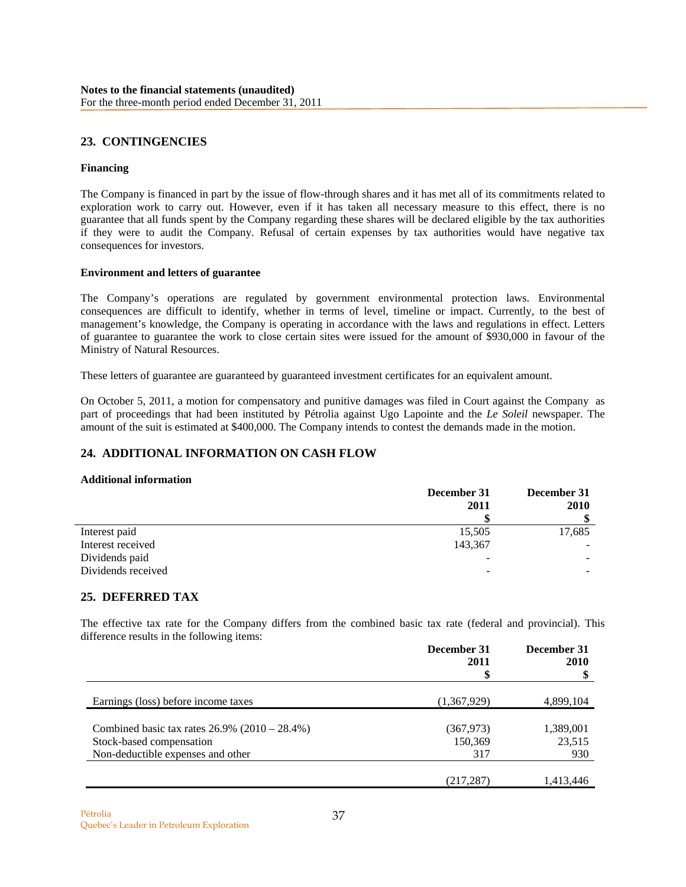# **23. CONTINGENCIES**

### **Financing**

The Company is financed in part by the issue of flow-through shares and it has met all of its commitments related to exploration work to carry out. However, even if it has taken all necessary measure to this effect, there is no guarantee that all funds spent by the Company regarding these shares will be declared eligible by the tax authorities if they were to audit the Company. Refusal of certain expenses by tax authorities would have negative tax consequences for investors.

### **Environment and letters of guarantee**

The Company's operations are regulated by government environmental protection laws. Environmental consequences are difficult to identify, whether in terms of level, timeline or impact. Currently, to the best of management's knowledge, the Company is operating in accordance with the laws and regulations in effect. Letters of guarantee to guarantee the work to close certain sites were issued for the amount of \$930,000 in favour of the Ministry of Natural Resources.

These letters of guarantee are guaranteed by guaranteed investment certificates for an equivalent amount.

On October 5, 2011, a motion for compensatory and punitive damages was filed in Court against the Company as part of proceedings that had been instituted by Pétrolia against Ugo Lapointe and the *Le Soleil* newspaper. The amount of the suit is estimated at \$400,000. The Company intends to contest the demands made in the motion.

# **24. ADDITIONAL INFORMATION ON CASH FLOW**

### **Additional information**

|                    | December 31              | December 31 |  |
|--------------------|--------------------------|-------------|--|
|                    | 2011                     | 2010        |  |
|                    |                          |             |  |
| Interest paid      | 15,505                   | 17,685      |  |
| Interest received  | 143,367                  |             |  |
| Dividends paid     | $\overline{\phantom{a}}$ |             |  |
| Dividends received | -                        |             |  |

# **25. DEFERRED TAX**

The effective tax rate for the Company differs from the combined basic tax rate (federal and provincial). This difference results in the following items:

|                                                  | December 31<br>2011 | December 31<br>2010 |  |
|--------------------------------------------------|---------------------|---------------------|--|
|                                                  |                     |                     |  |
| Earnings (loss) before income taxes              | (1,367,929)         | 4,899,104           |  |
| Combined basic tax rates $26.9\%$ (2010 – 28.4%) | (367, 973)          | 1,389,001           |  |
| Stock-based compensation                         | 150,369             | 23,515              |  |
| Non-deductible expenses and other                | 317                 | 930                 |  |
|                                                  | (217,287)           | 1,413,446           |  |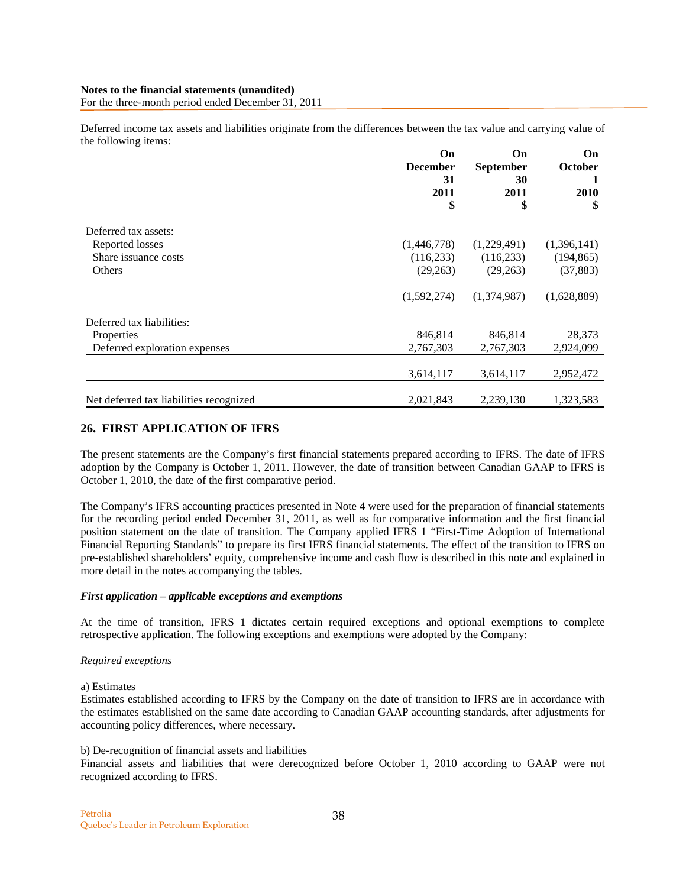Deferred income tax assets and liabilities originate from the differences between the tax value and carrying value of the following items:

|                                         | On              | On               | On                   |  |
|-----------------------------------------|-----------------|------------------|----------------------|--|
|                                         | <b>December</b> | <b>September</b> | October<br>1<br>2010 |  |
|                                         | 31              | 30               |                      |  |
|                                         | 2011            | 2011             |                      |  |
|                                         | \$              | \$               | \$                   |  |
| Deferred tax assets:                    |                 |                  |                      |  |
| Reported losses                         | (1,446,778)     | (1,229,491)      | (1,396,141)          |  |
| Share issuance costs                    | (116, 233)      | (116, 233)       | (194, 865)           |  |
| Others                                  | (29, 263)       | (29,263)         | (37, 883)            |  |
|                                         | (1,592,274)     | (1,374,987)      | (1,628,889)          |  |
| Deferred tax liabilities:               |                 |                  |                      |  |
| Properties                              | 846,814         | 846,814          | 28,373               |  |
| Deferred exploration expenses           | 2,767,303       | 2,767,303        | 2,924,099            |  |
|                                         | 3,614,117       | 3,614,117        | 2,952,472            |  |
| Net deferred tax liabilities recognized | 2,021,843       | 2,239,130        | 1,323,583            |  |

# **26. FIRST APPLICATION OF IFRS**

The present statements are the Company's first financial statements prepared according to IFRS. The date of IFRS adoption by the Company is October 1, 2011. However, the date of transition between Canadian GAAP to IFRS is October 1, 2010, the date of the first comparative period.

The Company's IFRS accounting practices presented in Note 4 were used for the preparation of financial statements for the recording period ended December 31, 2011, as well as for comparative information and the first financial position statement on the date of transition. The Company applied IFRS 1 "First-Time Adoption of International Financial Reporting Standards" to prepare its first IFRS financial statements. The effect of the transition to IFRS on pre-established shareholders' equity, comprehensive income and cash flow is described in this note and explained in more detail in the notes accompanying the tables.

### *First application – applicable exceptions and exemptions*

At the time of transition, IFRS 1 dictates certain required exceptions and optional exemptions to complete retrospective application. The following exceptions and exemptions were adopted by the Company:

### *Required exceptions*

### a) Estimates

Estimates established according to IFRS by the Company on the date of transition to IFRS are in accordance with the estimates established on the same date according to Canadian GAAP accounting standards, after adjustments for accounting policy differences, where necessary.

### b) De-recognition of financial assets and liabilities

Financial assets and liabilities that were derecognized before October 1, 2010 according to GAAP were not recognized according to IFRS.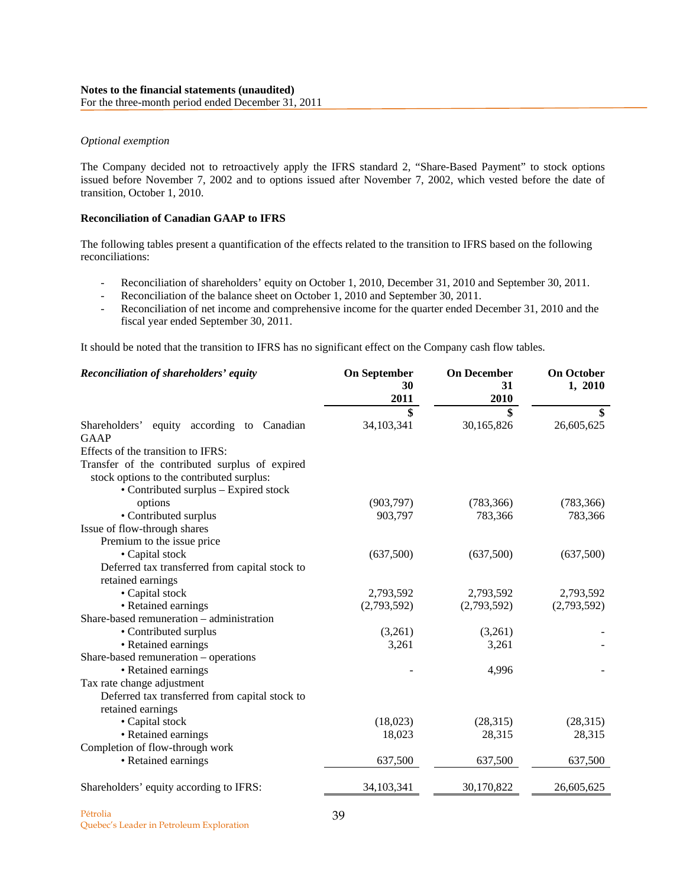#### *Optional exemption*

The Company decided not to retroactively apply the IFRS standard 2, "Share-Based Payment" to stock options issued before November 7, 2002 and to options issued after November 7, 2002, which vested before the date of transition, October 1, 2010.

### **Reconciliation of Canadian GAAP to IFRS**

The following tables present a quantification of the effects related to the transition to IFRS based on the following reconciliations:

- Reconciliation of shareholders' equity on October 1, 2010, December 31, 2010 and September 30, 2011.
- Reconciliation of the balance sheet on October 1, 2010 and September 30, 2011.
- Reconciliation of net income and comprehensive income for the quarter ended December 31, 2010 and the fiscal year ended September 30, 2011.

It should be noted that the transition to IFRS has no significant effect on the Company cash flow tables.

| Reconciliation of shareholders' equity                       | <b>On September</b><br>30 | <b>On December</b><br>31 | <b>On October</b><br>1, 2010 |
|--------------------------------------------------------------|---------------------------|--------------------------|------------------------------|
|                                                              | 2011                      | 2010                     |                              |
|                                                              | \$<br>34,103,341          | \$<br>30,165,826         | \$<br>26,605,625             |
| equity according to Canadian<br>Shareholders'<br><b>GAAP</b> |                           |                          |                              |
| Effects of the transition to IFRS:                           |                           |                          |                              |
| Transfer of the contributed surplus of expired               |                           |                          |                              |
| stock options to the contributed surplus:                    |                           |                          |                              |
| • Contributed surplus – Expired stock                        |                           |                          |                              |
| options                                                      | (903, 797)                | (783, 366)               | (783, 366)                   |
| • Contributed surplus                                        | 903,797                   | 783,366                  | 783,366                      |
| Issue of flow-through shares                                 |                           |                          |                              |
| Premium to the issue price                                   |                           |                          |                              |
| • Capital stock                                              | (637,500)                 | (637,500)                | (637,500)                    |
| Deferred tax transferred from capital stock to               |                           |                          |                              |
| retained earnings                                            |                           |                          |                              |
| • Capital stock                                              | 2,793,592                 | 2,793,592                | 2,793,592                    |
| • Retained earnings                                          | (2,793,592)               | (2,793,592)              | (2,793,592)                  |
| Share-based remuneration – administration                    |                           |                          |                              |
| • Contributed surplus                                        | (3,261)                   | (3,261)                  |                              |
| • Retained earnings                                          | 3,261                     | 3,261                    |                              |
| Share-based remuneration – operations                        |                           |                          |                              |
| • Retained earnings                                          |                           | 4,996                    |                              |
| Tax rate change adjustment                                   |                           |                          |                              |
| Deferred tax transferred from capital stock to               |                           |                          |                              |
| retained earnings                                            |                           |                          |                              |
| • Capital stock                                              | (18,023)                  | (28, 315)                | (28,315)                     |
| • Retained earnings                                          | 18,023                    | 28,315                   | 28,315                       |
| Completion of flow-through work                              |                           |                          |                              |
| • Retained earnings                                          | 637,500                   | 637,500                  | 637,500                      |
| Shareholders' equity according to IFRS:                      | 34,103,341                | 30,170,822               | 26,605,625                   |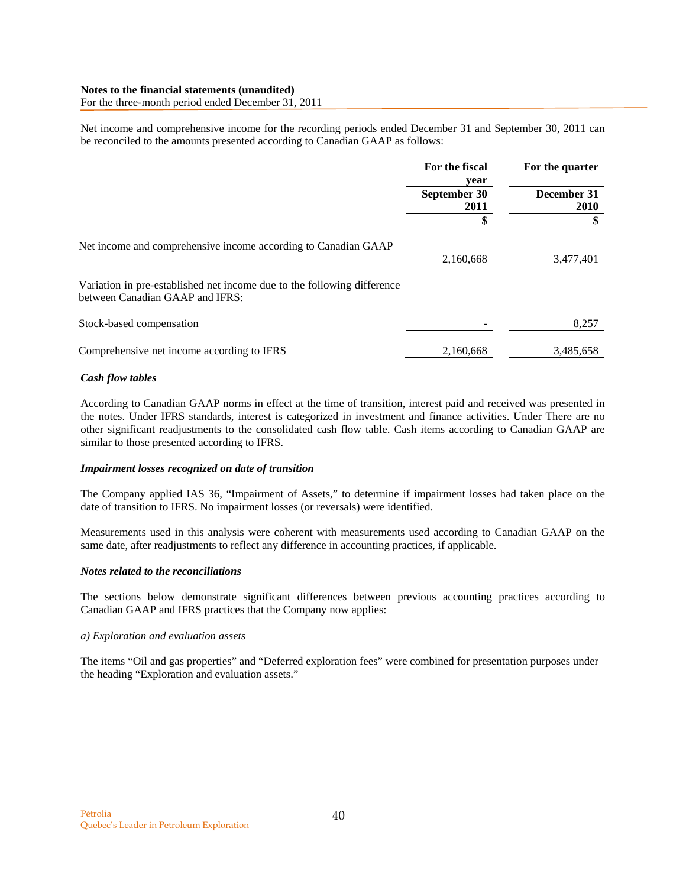For the three-month period ended December 31, 2011

Net income and comprehensive income for the recording periods ended December 31 and September 30, 2011 can be reconciled to the amounts presented according to Canadian GAAP as follows:

|                                                                                                            | For the fiscal<br>year | For the quarter<br>December 31<br><b>2010</b> |  |
|------------------------------------------------------------------------------------------------------------|------------------------|-----------------------------------------------|--|
|                                                                                                            | September 30<br>2011   |                                               |  |
|                                                                                                            | \$                     |                                               |  |
| Net income and comprehensive income according to Canadian GAAP                                             | 2,160,668              | 3,477,401                                     |  |
| Variation in pre-established net income due to the following difference<br>between Canadian GAAP and IFRS: |                        |                                               |  |
| Stock-based compensation                                                                                   |                        | 8,257                                         |  |
| Comprehensive net income according to IFRS                                                                 | 2,160,668              | 3,485,658                                     |  |

### *Cash flow tables*

According to Canadian GAAP norms in effect at the time of transition, interest paid and received was presented in the notes. Under IFRS standards, interest is categorized in investment and finance activities. Under There are no other significant readjustments to the consolidated cash flow table. Cash items according to Canadian GAAP are similar to those presented according to IFRS.

### *Impairment losses recognized on date of transition*

The Company applied IAS 36, "Impairment of Assets," to determine if impairment losses had taken place on the date of transition to IFRS. No impairment losses (or reversals) were identified.

Measurements used in this analysis were coherent with measurements used according to Canadian GAAP on the same date, after readjustments to reflect any difference in accounting practices, if applicable.

### *Notes related to the reconciliations*

The sections below demonstrate significant differences between previous accounting practices according to Canadian GAAP and IFRS practices that the Company now applies:

### *a) Exploration and evaluation assets*

The items "Oil and gas properties" and "Deferred exploration fees" were combined for presentation purposes under the heading "Exploration and evaluation assets."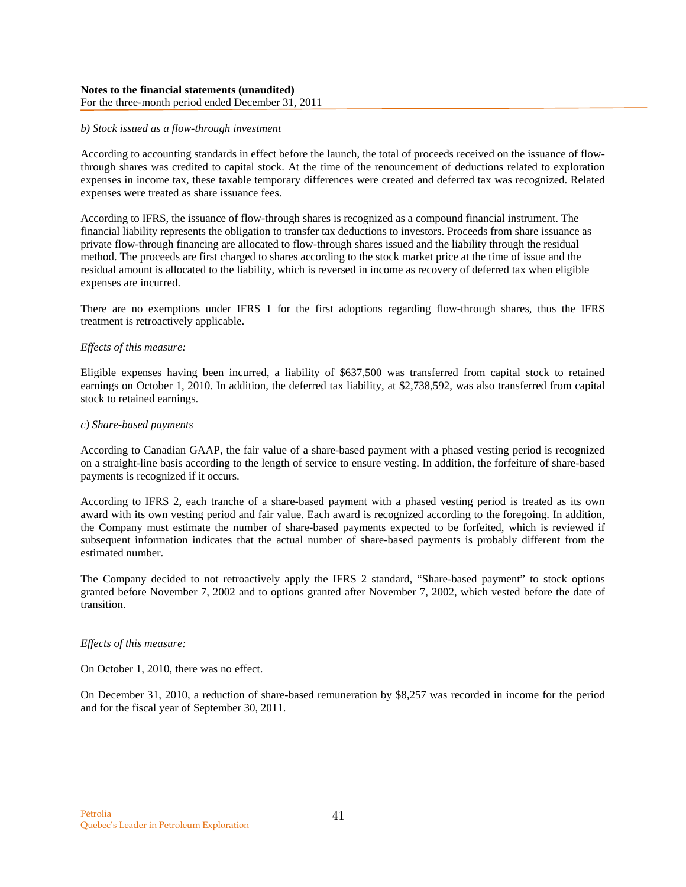### *b) Stock issued as a flow-through investment*

According to accounting standards in effect before the launch, the total of proceeds received on the issuance of flowthrough shares was credited to capital stock. At the time of the renouncement of deductions related to exploration expenses in income tax, these taxable temporary differences were created and deferred tax was recognized. Related expenses were treated as share issuance fees.

According to IFRS, the issuance of flow-through shares is recognized as a compound financial instrument. The financial liability represents the obligation to transfer tax deductions to investors. Proceeds from share issuance as private flow-through financing are allocated to flow-through shares issued and the liability through the residual method. The proceeds are first charged to shares according to the stock market price at the time of issue and the residual amount is allocated to the liability, which is reversed in income as recovery of deferred tax when eligible expenses are incurred.

There are no exemptions under IFRS 1 for the first adoptions regarding flow-through shares, thus the IFRS treatment is retroactively applicable.

### *Effects of this measure:*

Eligible expenses having been incurred, a liability of \$637,500 was transferred from capital stock to retained earnings on October 1, 2010. In addition, the deferred tax liability, at \$2,738,592, was also transferred from capital stock to retained earnings.

#### *c) Share-based payments*

According to Canadian GAAP, the fair value of a share-based payment with a phased vesting period is recognized on a straight-line basis according to the length of service to ensure vesting. In addition, the forfeiture of share-based payments is recognized if it occurs.

According to IFRS 2, each tranche of a share-based payment with a phased vesting period is treated as its own award with its own vesting period and fair value. Each award is recognized according to the foregoing. In addition, the Company must estimate the number of share-based payments expected to be forfeited, which is reviewed if subsequent information indicates that the actual number of share-based payments is probably different from the estimated number.

The Company decided to not retroactively apply the IFRS 2 standard, "Share-based payment" to stock options granted before November 7, 2002 and to options granted after November 7, 2002, which vested before the date of transition.

### *Effects of this measure:*

On October 1, 2010, there was no effect.

On December 31, 2010, a reduction of share-based remuneration by \$8,257 was recorded in income for the period and for the fiscal year of September 30, 2011.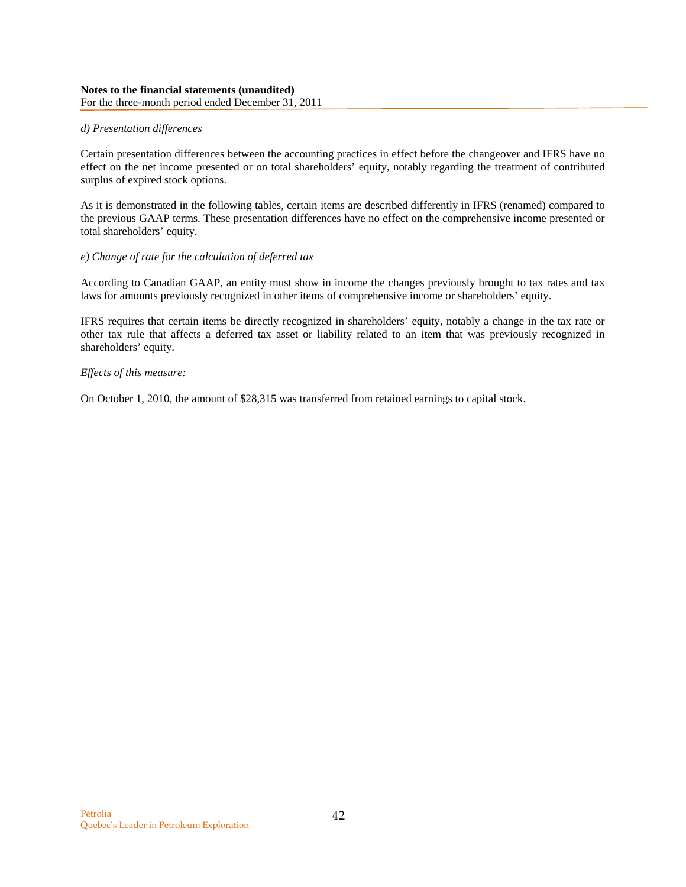### *d) Presentation differences*

Certain presentation differences between the accounting practices in effect before the changeover and IFRS have no effect on the net income presented or on total shareholders' equity, notably regarding the treatment of contributed surplus of expired stock options.

As it is demonstrated in the following tables, certain items are described differently in IFRS (renamed) compared to the previous GAAP terms. These presentation differences have no effect on the comprehensive income presented or total shareholders' equity.

### *e) Change of rate for the calculation of deferred tax*

According to Canadian GAAP, an entity must show in income the changes previously brought to tax rates and tax laws for amounts previously recognized in other items of comprehensive income or shareholders' equity.

IFRS requires that certain items be directly recognized in shareholders' equity, notably a change in the tax rate or other tax rule that affects a deferred tax asset or liability related to an item that was previously recognized in shareholders' equity.

### *Effects of this measure:*

On October 1, 2010, the amount of \$28,315 was transferred from retained earnings to capital stock.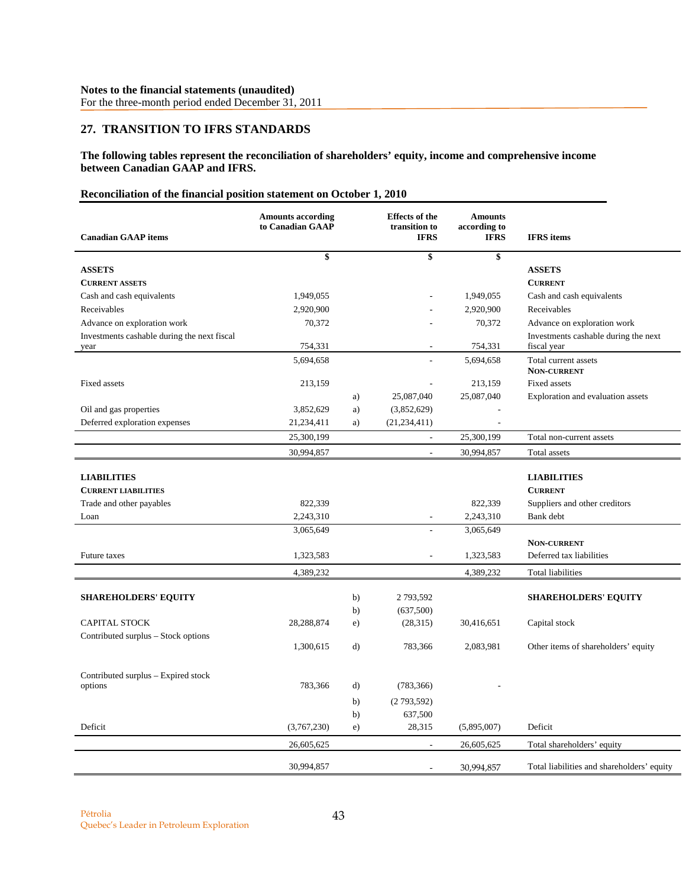# **27. TRANSITION TO IFRS STANDARDS**

**The following tables represent the reconciliation of shareholders' equity, income and comprehensive income between Canadian GAAP and IFRS.** 

# **Reconciliation of the financial position statement on October 1, 2010**

| <b>Canadian GAAP</b> items                       | <b>Amounts according</b><br>to Canadian GAAP |    | <b>Effects</b> of the<br>transition to<br><b>IFRS</b> | <b>Amounts</b><br>according to<br><b>IFRS</b> | <b>IFRS</b> items                          |
|--------------------------------------------------|----------------------------------------------|----|-------------------------------------------------------|-----------------------------------------------|--------------------------------------------|
|                                                  | \$                                           |    | \$                                                    | \$                                            |                                            |
| <b>ASSETS</b>                                    |                                              |    |                                                       |                                               | <b>ASSETS</b>                              |
| <b>CURRENT ASSETS</b>                            |                                              |    |                                                       |                                               | <b>CURRENT</b>                             |
| Cash and cash equivalents                        | 1,949,055                                    |    |                                                       | 1,949,055                                     | Cash and cash equivalents                  |
| Receivables                                      | 2,920,900                                    |    |                                                       | 2,920,900                                     | Receivables                                |
| Advance on exploration work                      | 70,372                                       |    |                                                       | 70,372                                        | Advance on exploration work                |
| Investments cashable during the next fiscal      |                                              |    |                                                       |                                               | Investments cashable during the next       |
| year                                             | 754,331                                      |    | ÷,                                                    | 754,331                                       | fiscal year                                |
|                                                  | 5,694,658                                    |    |                                                       | 5,694,658                                     | Total current assets<br><b>NON-CURRENT</b> |
| Fixed assets                                     | 213,159                                      |    |                                                       | 213,159                                       | <b>Fixed assets</b>                        |
|                                                  |                                              | a) | 25,087,040                                            | 25,087,040                                    | Exploration and evaluation assets          |
| Oil and gas properties                           | 3,852,629                                    | a) | (3,852,629)                                           |                                               |                                            |
| Deferred exploration expenses                    | 21,234,411                                   | a) | (21, 234, 411)                                        | $\overline{\phantom{a}}$                      |                                            |
|                                                  | 25,300,199                                   |    | $\Box$                                                | 25,300,199                                    | Total non-current assets                   |
|                                                  | 30,994,857                                   |    | $\overline{\phantom{a}}$                              | 30,994,857                                    | Total assets                               |
| <b>LIABILITIES</b><br><b>CURRENT LIABILITIES</b> |                                              |    |                                                       |                                               | <b>LIABILITIES</b><br><b>CURRENT</b>       |
| Trade and other payables                         | 822,339                                      |    |                                                       | 822,339                                       | Suppliers and other creditors              |
| Loan                                             | 2,243,310                                    |    | $\overline{\phantom{a}}$                              | 2,243,310                                     | Bank debt                                  |
|                                                  | 3,065,649                                    |    |                                                       | 3,065,649                                     |                                            |
|                                                  |                                              |    |                                                       |                                               | <b>NON-CURRENT</b>                         |
| <b>Future taxes</b>                              | 1,323,583                                    |    |                                                       | 1,323,583                                     | Deferred tax liabilities                   |
|                                                  | 4,389,232                                    |    |                                                       | 4,389,232                                     | <b>Total liabilities</b>                   |
|                                                  |                                              |    |                                                       |                                               |                                            |
| <b>SHAREHOLDERS' EQUITY</b>                      |                                              | b) | 2 793,592                                             |                                               | <b>SHAREHOLDERS' EQUITY</b>                |
|                                                  |                                              | b) | (637,500)                                             |                                               |                                            |
| <b>CAPITAL STOCK</b>                             | 28,288,874                                   | e) | (28,315)                                              | 30,416,651                                    | Capital stock                              |
| Contributed surplus – Stock options              | 1,300,615                                    | d) | 783,366                                               | 2,083,981                                     | Other items of shareholders' equity        |
| Contributed surplus - Expired stock              |                                              |    |                                                       |                                               |                                            |
| options                                          | 783,366                                      | d) | (783, 366)                                            |                                               |                                            |
|                                                  |                                              | b) | (2793,592)                                            |                                               |                                            |
|                                                  |                                              | b) | 637,500                                               |                                               |                                            |
| Deficit                                          | (3,767,230)                                  | e) | 28,315                                                | (5,895,007)                                   | Deficit                                    |
|                                                  | 26,605,625                                   |    |                                                       | 26,605,625                                    | Total shareholders' equity                 |
|                                                  | 30,994,857                                   |    |                                                       | 30.994.857                                    | Total liabilities and shareholders' equity |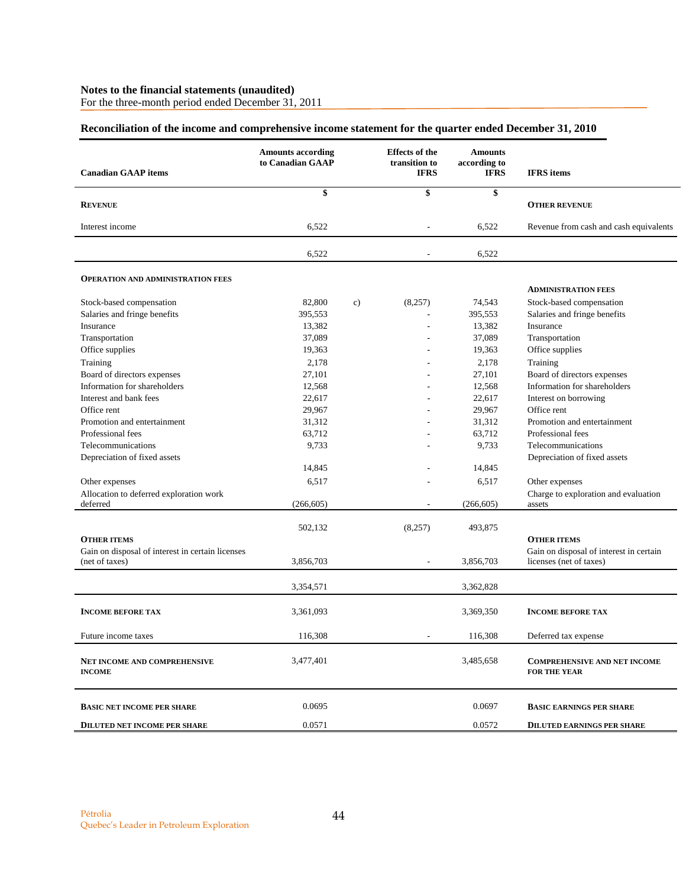For the three-month period ended December 31, 2011

# **Reconciliation of the income and comprehensive income statement for the quarter ended December 31, 2010**

| <b>Canadian GAAP</b> items                                         | <b>Amounts according</b><br>to Canadian GAAP |    | <b>Effects</b> of the<br>transition to<br><b>IFRS</b> | <b>Amounts</b><br>according to<br><b>IFRS</b> | <b>IFRS</b> items                                                  |
|--------------------------------------------------------------------|----------------------------------------------|----|-------------------------------------------------------|-----------------------------------------------|--------------------------------------------------------------------|
|                                                                    | \$                                           |    | \$                                                    | \$                                            |                                                                    |
| <b>REVENUE</b>                                                     |                                              |    |                                                       |                                               | <b>OTHER REVENUE</b>                                               |
| Interest income                                                    | 6,522                                        |    | $\overline{a}$                                        | 6,522                                         | Revenue from cash and cash equivalents                             |
|                                                                    | 6,522                                        |    |                                                       | 6,522                                         |                                                                    |
| <b>OPERATION AND ADMINISTRATION FEES</b>                           |                                              |    |                                                       |                                               | <b>ADMINISTRATION FEES</b>                                         |
| Stock-based compensation                                           | 82,800                                       | c) | (8,257)                                               | 74,543                                        | Stock-based compensation                                           |
| Salaries and fringe benefits                                       | 395,553                                      |    |                                                       | 395,553                                       | Salaries and fringe benefits                                       |
| Insurance                                                          | 13,382                                       |    |                                                       | 13,382                                        | Insurance                                                          |
| Transportation                                                     | 37,089                                       |    |                                                       | 37,089                                        | Transportation                                                     |
| Office supplies                                                    | 19,363                                       |    |                                                       | 19,363                                        | Office supplies                                                    |
| Training                                                           | 2,178                                        |    |                                                       | 2,178                                         | Training                                                           |
| Board of directors expenses                                        | 27,101                                       |    |                                                       | 27,101                                        | Board of directors expenses                                        |
| Information for shareholders                                       | 12,568                                       |    |                                                       | 12,568                                        | Information for shareholders                                       |
| Interest and bank fees                                             | 22,617                                       |    |                                                       | 22,617                                        | Interest on borrowing                                              |
| Office rent                                                        | 29,967                                       |    |                                                       | 29,967                                        | Office rent                                                        |
| Promotion and entertainment                                        | 31,312                                       |    |                                                       | 31,312                                        | Promotion and entertainment                                        |
| Professional fees                                                  | 63,712                                       |    |                                                       | 63,712                                        | Professional fees                                                  |
| Telecommunications                                                 | 9,733                                        |    |                                                       | 9,733                                         | Telecommunications                                                 |
| Depreciation of fixed assets                                       |                                              |    |                                                       |                                               | Depreciation of fixed assets                                       |
|                                                                    | 14,845                                       |    |                                                       | 14,845                                        |                                                                    |
| Other expenses                                                     | 6,517                                        |    |                                                       | 6,517                                         | Other expenses                                                     |
| Allocation to deferred exploration work                            |                                              |    |                                                       |                                               | Charge to exploration and evaluation                               |
| deferred                                                           | (266, 605)                                   |    | $\overline{\phantom{0}}$                              | (266, 605)                                    | assets                                                             |
| <b>OTHER ITEMS</b>                                                 | 502,132                                      |    | (8,257)                                               | 493,875                                       | <b>OTHER ITEMS</b>                                                 |
| Gain on disposal of interest in certain licenses<br>(net of taxes) | 3,856,703                                    |    | $\overline{\phantom{a}}$                              | 3,856,703                                     | Gain on disposal of interest in certain<br>licenses (net of taxes) |
|                                                                    | 3,354,571                                    |    |                                                       | 3,362,828                                     |                                                                    |
| <b>INCOME BEFORE TAX</b>                                           | 3,361,093                                    |    |                                                       | 3,369,350                                     | <b>INCOME BEFORE TAX</b>                                           |
| Future income taxes                                                | 116,308                                      |    |                                                       | 116,308                                       | Deferred tax expense                                               |
| NET INCOME AND COMPREHENSIVE<br><b>INCOME</b>                      | 3,477,401                                    |    |                                                       | 3,485,658                                     | <b>COMPREHENSIVE AND NET INCOME</b><br><b>FOR THE YEAR</b>         |
| <b>BASIC NET INCOME PER SHARE</b>                                  | 0.0695                                       |    |                                                       | 0.0697                                        | <b>BASIC EARNINGS PER SHARE</b>                                    |
| <b>DILUTED NET INCOME PER SHARE</b>                                | 0.0571                                       |    |                                                       | 0.0572                                        | <b>DILUTED EARNINGS PER SHARE</b>                                  |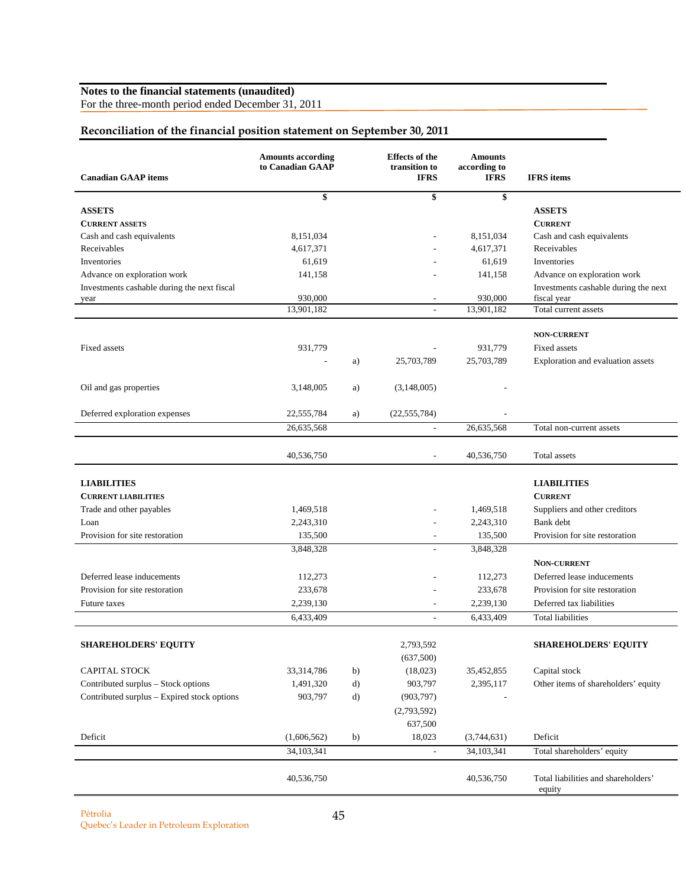For the three-month period ended December 31, 2011

# **Reconciliation of the financial position statement on September 30, 2011**

| <b>Canadian GAAP</b> items                          | <b>Amounts according</b><br>to Canadian GAAP |              | <b>Effects</b> of the<br>transition to<br><b>IFRS</b> | <b>Amounts</b><br>according to<br><b>IFRS</b> | <b>IFRS</b> items                                   |
|-----------------------------------------------------|----------------------------------------------|--------------|-------------------------------------------------------|-----------------------------------------------|-----------------------------------------------------|
|                                                     | \$                                           |              | \$                                                    | \$                                            |                                                     |
| <b>ASSETS</b>                                       |                                              |              |                                                       |                                               | <b>ASSETS</b>                                       |
| <b>CURRENT ASSETS</b>                               |                                              |              |                                                       |                                               | <b>CURRENT</b>                                      |
| Cash and cash equivalents                           | 8,151,034                                    |              |                                                       | 8,151,034                                     | Cash and cash equivalents                           |
| Receivables                                         | 4,617,371                                    |              |                                                       | 4,617,371                                     | Receivables                                         |
| Inventories                                         | 61,619                                       |              |                                                       | 61,619                                        | Inventories                                         |
| Advance on exploration work                         | 141,158                                      |              |                                                       | 141,158                                       | Advance on exploration work                         |
| Investments cashable during the next fiscal<br>year | 930,000                                      |              | $\overline{\phantom{a}}$                              | 930,000                                       | Investments cashable during the next<br>fiscal year |
|                                                     | 13,901,182                                   |              |                                                       | 13,901,182                                    | Total current assets                                |
|                                                     |                                              |              |                                                       |                                               |                                                     |
|                                                     |                                              |              |                                                       |                                               | <b>NON-CURRENT</b>                                  |
| Fixed assets                                        | 931,779                                      |              |                                                       | 931,779                                       | Fixed assets                                        |
|                                                     | $\overline{\phantom{a}}$                     | a)           | 25,703,789                                            | 25,703,789                                    | Exploration and evaluation assets                   |
| Oil and gas properties                              | 3,148,005                                    | a)           | (3,148,005)                                           |                                               |                                                     |
|                                                     |                                              |              |                                                       |                                               |                                                     |
| Deferred exploration expenses                       | 22,555,784                                   | a)           | (22, 555, 784)                                        |                                               |                                                     |
|                                                     | 26,635,568                                   |              | $\overline{\phantom{a}}$                              | 26,635,568                                    | Total non-current assets                            |
|                                                     | 40,536,750                                   |              | $\overline{\phantom{a}}$                              | 40,536,750                                    | Total assets                                        |
| <b>LIABILITIES</b>                                  |                                              |              |                                                       |                                               | <b>LIABILITIES</b>                                  |
| <b>CURRENT LIABILITIES</b>                          |                                              |              |                                                       |                                               | <b>CURRENT</b>                                      |
| Trade and other payables                            | 1,469,518                                    |              |                                                       | 1,469,518                                     | Suppliers and other creditors                       |
| Loan                                                | 2,243,310                                    |              | $\overline{\phantom{a}}$                              | 2,243,310                                     | Bank debt                                           |
| Provision for site restoration                      | 135,500                                      |              | $\overline{\phantom{a}}$                              | 135,500                                       | Provision for site restoration                      |
|                                                     | 3,848,328                                    |              | $\overline{\phantom{a}}$                              | 3,848,328                                     |                                                     |
|                                                     |                                              |              |                                                       |                                               | NON-CURRENT                                         |
| Deferred lease inducements                          | 112,273                                      |              | $\overline{a}$                                        | 112,273                                       | Deferred lease inducements                          |
| Provision for site restoration                      | 233,678                                      |              |                                                       | 233,678                                       | Provision for site restoration                      |
| Future taxes                                        | 2,239,130                                    |              |                                                       | 2,239,130                                     | Deferred tax liabilities                            |
|                                                     | 6,433,409                                    |              | $\overline{a}$                                        | 6,433,409                                     | <b>Total liabilities</b>                            |
|                                                     |                                              |              |                                                       |                                               |                                                     |
| <b>SHAREHOLDERS' EQUITY</b>                         |                                              |              | 2,793,592                                             |                                               | <b>SHAREHOLDERS' EQUITY</b>                         |
|                                                     |                                              |              | (637,500)                                             |                                               |                                                     |
| CAPITAL STOCK                                       | 33,314,786                                   | b)           | (18,023)                                              | 35,452,855                                    | Capital stock                                       |
| Contributed surplus - Stock options                 | 1,491,320                                    | $\mathbf{d}$ | 903,797                                               | 2,395,117                                     | Other items of shareholders' equity                 |
| Contributed surplus - Expired stock options         | 903,797                                      | d)           | (903, 797)                                            |                                               |                                                     |
|                                                     |                                              |              | (2,793,592)                                           |                                               |                                                     |
|                                                     |                                              |              | 637,500                                               |                                               |                                                     |
| Deficit                                             | (1,606,562)                                  | b)           | 18,023                                                | (3,744,631)                                   | Deficit                                             |
|                                                     | 34,103,341                                   |              | $\overline{\phantom{a}}$                              | 34,103,341                                    | Total shareholders' equity                          |
|                                                     | 40,536,750                                   |              |                                                       | 40,536,750                                    | Total liabilities and shareholders'                 |
|                                                     |                                              |              |                                                       |                                               | equity                                              |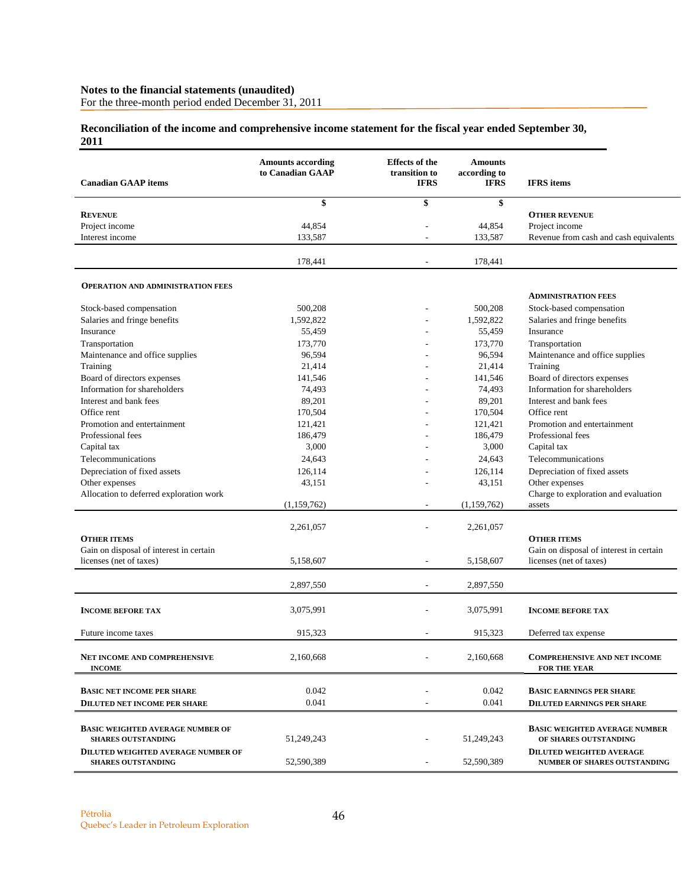For the three-month period ended December 31, 2011

# **Reconciliation of the income and comprehensive income statement for the fiscal year ended September 30, 2011**

| <b>Canadian GAAP</b> items                                             | <b>Amounts according</b><br>to Canadian GAAP | <b>Effects of the</b><br>transition to<br><b>IFRS</b> | <b>Amounts</b><br>according to<br><b>IFRS</b> | <b>IFRS</b> items                                                      |
|------------------------------------------------------------------------|----------------------------------------------|-------------------------------------------------------|-----------------------------------------------|------------------------------------------------------------------------|
|                                                                        | \$                                           | \$                                                    | \$                                            |                                                                        |
| <b>REVENUE</b>                                                         |                                              |                                                       |                                               | <b>OTHER REVENUE</b>                                                   |
| Project income                                                         | 44,854                                       |                                                       | 44,854                                        | Project income                                                         |
| Interest income                                                        | 133,587                                      |                                                       | 133,587                                       | Revenue from cash and cash equivalents                                 |
|                                                                        | 178,441                                      |                                                       | 178,441                                       |                                                                        |
| <b>OPERATION AND ADMINISTRATION FEES</b>                               |                                              |                                                       |                                               |                                                                        |
|                                                                        |                                              |                                                       |                                               | <b>ADMINISTRATION FEES</b>                                             |
| Stock-based compensation                                               | 500,208                                      |                                                       | 500,208                                       | Stock-based compensation                                               |
| Salaries and fringe benefits                                           | 1,592,822                                    |                                                       | 1,592,822                                     | Salaries and fringe benefits                                           |
| Insurance                                                              | 55,459                                       |                                                       | 55,459                                        | Insurance                                                              |
| Transportation                                                         | 173,770                                      |                                                       | 173,770                                       | Transportation                                                         |
| Maintenance and office supplies                                        | 96,594                                       |                                                       | 96,594                                        | Maintenance and office supplies                                        |
| Training                                                               | 21,414                                       |                                                       | 21,414                                        | Training                                                               |
| Board of directors expenses                                            | 141,546                                      |                                                       | 141,546                                       | Board of directors expenses                                            |
| Information for shareholders                                           | 74,493                                       |                                                       | 74,493                                        | Information for shareholders                                           |
| Interest and bank fees                                                 | 89,201                                       |                                                       | 89,201                                        | Interest and bank fees                                                 |
| Office rent                                                            | 170,504                                      |                                                       | 170,504                                       | Office rent                                                            |
| Promotion and entertainment                                            | 121,421                                      |                                                       | 121,421                                       | Promotion and entertainment                                            |
| Professional fees                                                      | 186,479                                      |                                                       | 186,479                                       | Professional fees                                                      |
| Capital tax                                                            | 3,000                                        |                                                       | 3,000                                         | Capital tax                                                            |
| Telecommunications                                                     | 24,643                                       |                                                       | 24,643                                        | Telecommunications                                                     |
| Depreciation of fixed assets                                           | 126,114                                      |                                                       | 126,114                                       | Depreciation of fixed assets                                           |
| Other expenses                                                         | 43,151                                       |                                                       | 43,151                                        | Other expenses                                                         |
| Allocation to deferred exploration work                                |                                              |                                                       |                                               | Charge to exploration and evaluation                                   |
|                                                                        | (1,159,762)                                  |                                                       | (1,159,762)                                   | assets                                                                 |
|                                                                        | 2,261,057                                    |                                                       | 2,261,057                                     |                                                                        |
| <b>OTHER ITEMS</b>                                                     |                                              |                                                       |                                               | <b>OTHER ITEMS</b>                                                     |
| Gain on disposal of interest in certain                                |                                              |                                                       |                                               | Gain on disposal of interest in certain                                |
| licenses (net of taxes)                                                | 5,158,607                                    |                                                       | 5,158,607                                     | licenses (net of taxes)                                                |
|                                                                        | 2.897.550                                    |                                                       | 2,897,550                                     |                                                                        |
| <b>INCOME BEFORE TAX</b>                                               | 3,075,991                                    |                                                       | 3,075,991                                     | <b>INCOME BEFORE TAX</b>                                               |
|                                                                        |                                              |                                                       |                                               |                                                                        |
| Future income taxes                                                    | 915,323                                      | ۰                                                     | 915,323                                       | Deferred tax expense                                                   |
| <b>NET INCOME AND COMPREHENSIVE</b><br><b>INCOME</b>                   | 2,160,668                                    |                                                       | 2,160,668                                     | <b>COMPREHENSIVE AND NET INCOME</b><br><b>FOR THE YEAR</b>             |
|                                                                        |                                              |                                                       |                                               |                                                                        |
| <b>BASIC NET INCOME PER SHARE</b>                                      | 0.042                                        |                                                       | 0.042                                         | <b>BASIC EARNINGS PER SHARE</b>                                        |
| <b>DILUTED NET INCOME PER SHARE</b>                                    | 0.041                                        |                                                       | 0.041                                         | <b>DILUTED EARNINGS PER SHARE</b>                                      |
| <b>BASIC WEIGHTED AVERAGE NUMBER OF</b><br><b>SHARES OUTSTANDING</b>   | 51,249,243                                   |                                                       | 51,249,243                                    | <b>BASIC WEIGHTED AVERAGE NUMBER</b><br>OF SHARES OUTSTANDING          |
| <b>DILUTED WEIGHTED AVERAGE NUMBER OF</b><br><b>SHARES OUTSTANDING</b> | 52,590,389                                   |                                                       | 52.590.389                                    | <b>DILUTED WEIGHTED AVERAGE</b><br><b>NUMBER OF SHARES OUTSTANDING</b> |